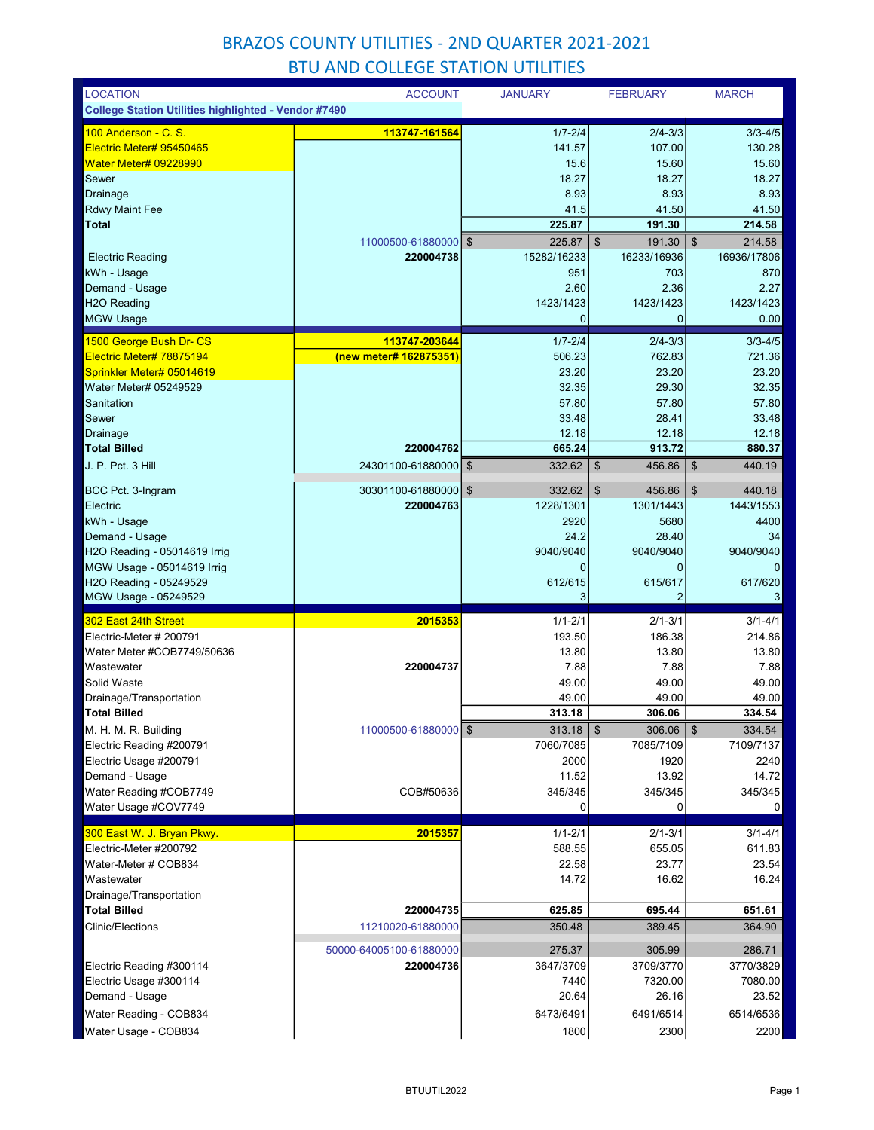| <b>LOCATION</b>                                             | <b>ACCOUNT</b>                          | <b>JANUARY</b>           | <b>FEBRUARY</b>             | <b>MARCH</b>          |
|-------------------------------------------------------------|-----------------------------------------|--------------------------|-----------------------------|-----------------------|
| <b>College Station Utilities highlighted - Vendor #7490</b> |                                         |                          |                             |                       |
| <u> 100 Anderson - C. S.</u>                                | 113747-161564                           | $1/7 - 2/4$              | $2/4 - 3/3$                 | $3/3 - 4/5$           |
| Electric Meter# 95450465                                    |                                         | 141.57                   | 107.00                      | 130.28                |
| <b>Water Meter# 09228990</b>                                |                                         | 15.6                     | 15.60                       | 15.60                 |
| Sewer                                                       |                                         | 18.27                    | 18.27                       | 18.27                 |
| Drainage                                                    |                                         | 8.93                     | 8.93                        | 8.93                  |
| Rdwy Maint Fee                                              |                                         | 41.5                     | 41.50                       | 41.50                 |
| <b>Total</b>                                                |                                         | 225.87                   | 191.30                      | 214.58                |
|                                                             | 11000500-61880000                       | $\mathfrak{S}$<br>225.87 | $\mathfrak{S}$<br>191.30    | \$<br>214.58          |
| <b>Electric Reading</b>                                     | 220004738                               | 15282/16233              | 16233/16936                 | 16936/17806           |
| kWh - Usage                                                 |                                         | 951                      | 703                         | 870                   |
| Demand - Usage<br>H <sub>2</sub> O Reading                  |                                         | 2.60<br>1423/1423        | 2.36<br>1423/1423           | 2.27<br>1423/1423     |
| <b>MGW Usage</b>                                            |                                         | 0                        | $\mathbf{0}$                | 0.00                  |
|                                                             |                                         |                          |                             |                       |
| 1500 George Bush Dr- CS<br>Electric Meter# 78875194         | 113747-203644<br>(new meter# 162875351) | $1/7 - 2/4$<br>506.23    | $2/4 - 3/3$<br>762.83       | $3/3 - 4/5$<br>721.36 |
| Sprinkler Meter# 05014619                                   |                                         | 23.20                    | 23.20                       | 23.20                 |
| Water Meter# 05249529                                       |                                         | 32.35                    | 29.30                       | 32.35                 |
| Sanitation                                                  |                                         | 57.80                    | 57.80                       | 57.80                 |
| Sewer                                                       |                                         | 33.48                    | 28.41                       | 33.48                 |
| Drainage                                                    |                                         | 12.18                    | 12.18                       | 12.18                 |
| <b>Total Billed</b>                                         | 220004762                               | 665.24                   | 913.72                      | 880.37                |
| J. P. Pct. 3 Hill                                           | 24301100-61880000                       | 332.62<br>\$             | $\sqrt[6]{3}$<br>456.86     | \$<br>440.19          |
|                                                             |                                         |                          |                             |                       |
| BCC Pct. 3-Ingram                                           | 30301100-61880000   \$                  | 332.62                   | $\boldsymbol{\$}$<br>456.86 | \$<br>440.18          |
| Electric                                                    | 220004763                               | 1228/1301                | 1301/1443                   | 1443/1553             |
| kWh - Usage                                                 |                                         | 2920                     | 5680                        | 4400                  |
| Demand - Usage<br>H2O Reading - 05014619 Irrig              |                                         | 24.2<br>9040/9040        | 28.40<br>9040/9040          | 34<br>9040/9040       |
| MGW Usage - 05014619 Irrig                                  |                                         | 0                        | 0                           | 0                     |
| H2O Reading - 05249529                                      |                                         | 612/615                  | 615/617                     | 617/620               |
|                                                             |                                         |                          |                             |                       |
|                                                             |                                         | 3                        | 2                           | 3                     |
| MGW Usage - 05249529                                        |                                         |                          |                             |                       |
| 302 East 24th Street                                        | 2015353                                 | $1/1 - 2/1$              | $2/1 - 3/1$                 | $3/1 - 4/1$           |
| Electric-Meter # 200791                                     |                                         | 193.50                   | 186.38                      | 214.86                |
| Water Meter #COB7749/50636                                  |                                         | 13.80                    | 13.80                       | 13.80                 |
| Wastewater                                                  | 220004737                               | 7.88                     | 7.88                        | 7.88                  |
| Solid Waste                                                 |                                         | 49.00                    | 49.00                       | 49.00                 |
| Drainage/Transportation<br><b>Total Billed</b>              |                                         | 49.00<br>313.18          | 49.00<br>306.06             | 49.00<br>334.54       |
|                                                             | 11000500-61880000 \$                    | 313.18                   | $\sqrt{3}$<br>306.06        | $\,$<br>334.54        |
| M. H. M. R. Building<br>Electric Reading #200791            |                                         | 7060/7085                | 7085/7109                   | 7109/7137             |
| Electric Usage #200791                                      |                                         | 2000                     | 1920                        | 2240                  |
| Demand - Usage                                              |                                         | 11.52                    | 13.92                       | 14.72                 |
| Water Reading #COB7749                                      | COB#50636                               | 345/345                  | 345/345                     | 345/345               |
| Water Usage #COV7749                                        |                                         | 0                        | 0                           | $\overline{0}$        |
|                                                             |                                         |                          |                             |                       |
| 300 East W. J. Bryan Pkwy.<br>Electric-Meter #200792        | 2015357                                 | $1/1 - 2/1$<br>588.55    | $2/1 - 3/1$<br>655.05       | $3/1 - 4/1$<br>611.83 |
| Water-Meter # COB834                                        |                                         | 22.58                    | 23.77                       | 23.54                 |
| Wastewater                                                  |                                         | 14.72                    | 16.62                       | 16.24                 |
| Drainage/Transportation                                     |                                         |                          |                             |                       |
| <b>Total Billed</b>                                         | 220004735                               | 625.85                   | 695.44                      | 651.61                |
| <b>Clinic/Elections</b>                                     | 11210020-61880000                       | 350.48                   | 389.45                      | 364.90                |
|                                                             |                                         |                          |                             |                       |
|                                                             | 50000-64005100-61880000                 | 275.37                   | 305.99                      | 286.71                |
| Electric Reading #300114                                    | 220004736                               | 3647/3709<br>7440        | 3709/3770<br>7320.00        | 3770/3829<br>7080.00  |
| Electric Usage #300114                                      |                                         | 20.64                    | 26.16                       | 23.52                 |
| Demand - Usage<br>Water Reading - COB834                    |                                         | 6473/6491                | 6491/6514                   | 6514/6536             |
| Water Usage - COB834                                        |                                         | 1800                     | 2300                        | 2200                  |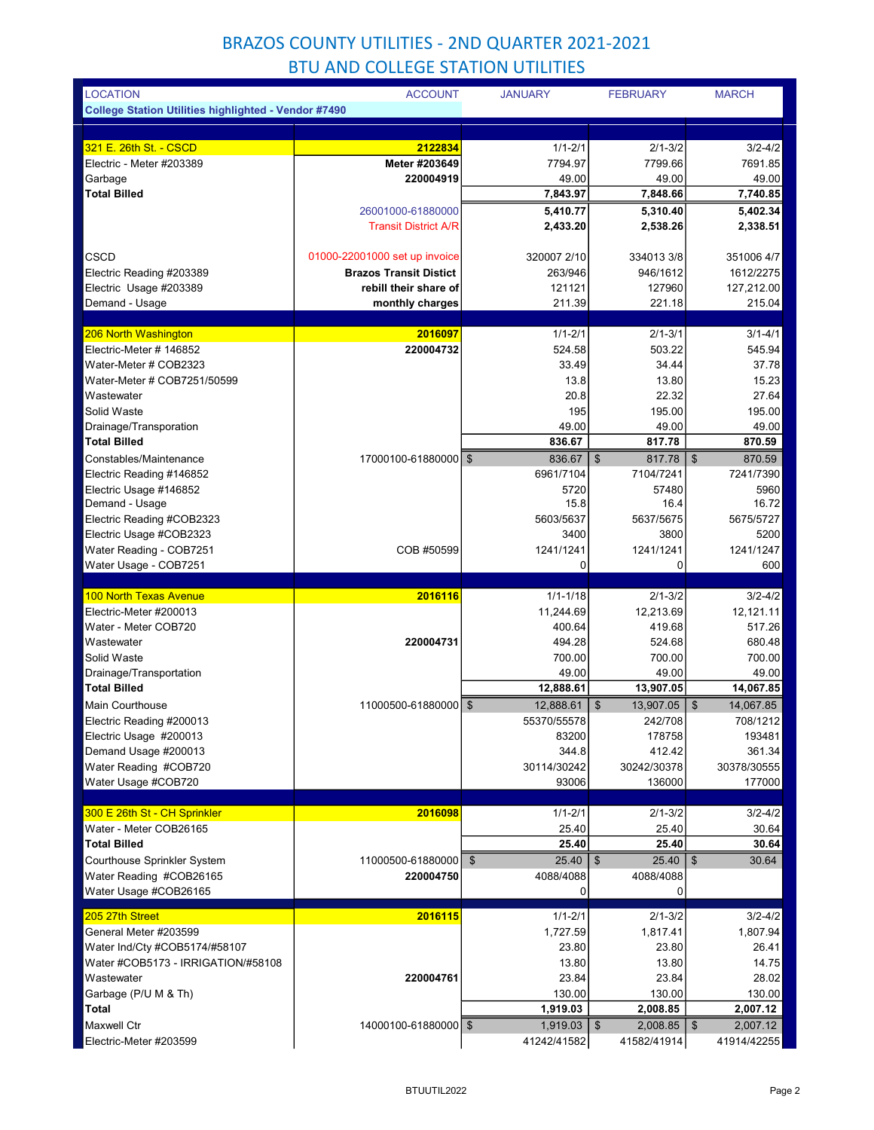| <b>LOCATION</b>                                             | <b>ACCOUNT</b>                | <b>JANUARY</b>          | <b>FEBRUARY</b>                      | <b>MARCH</b>                       |
|-------------------------------------------------------------|-------------------------------|-------------------------|--------------------------------------|------------------------------------|
| <b>College Station Utilities highlighted - Vendor #7490</b> |                               |                         |                                      |                                    |
|                                                             |                               |                         |                                      |                                    |
| 321 E. 26th St. - CSCD                                      | 2122834                       | $1/1 - 2/1$             | $2/1 - 3/2$                          | $3/2 - 4/2$                        |
| Electric - Meter #203389                                    | Meter #203649                 | 7794.97                 | 7799.66                              | 7691.85                            |
| Garbage                                                     | 220004919                     | 49.00                   | 49.00                                | 49.00                              |
| <b>Total Billed</b>                                         |                               | 7,843.97                | 7,848.66                             | 7,740.85                           |
|                                                             | 26001000-61880000             | 5,410.77                | 5,310.40                             | 5,402.34                           |
|                                                             | <b>Transit District A/R</b>   | 2,433.20                | 2,538.26                             | 2,338.51                           |
| CSCD                                                        | 01000-22001000 set up invoice | 320007 2/10             | 334013 3/8                           | 351006 4/7                         |
| Electric Reading #203389                                    | <b>Brazos Transit Distict</b> | 263/946                 | 946/1612                             | 1612/2275                          |
| Electric Usage #203389                                      | rebill their share of         | 121121                  | 127960                               | 127,212.00                         |
| Demand - Usage                                              | monthly charges               | 211.39                  | 221.18                               | 215.04                             |
|                                                             |                               |                         |                                      |                                    |
| 206 North Washington                                        | 2016097                       | $1/1 - 2/1$             | $2/1 - 3/1$                          | $3/1 - 4/1$                        |
| Electric-Meter # 146852                                     | 220004732                     | 524.58                  | 503.22                               | 545.94                             |
| Water-Meter # COB2323                                       |                               | 33.49                   | 34.44                                | 37.78                              |
| Water-Meter # COB7251/50599                                 |                               | 13.8                    | 13.80                                | 15.23                              |
| Wastewater                                                  |                               | 20.8                    | 22.32                                | 27.64                              |
| Solid Waste                                                 |                               | 195                     | 195.00                               | 195.00                             |
| Drainage/Transporation                                      |                               | 49.00                   | 49.00                                | 49.00                              |
| <b>Total Billed</b>                                         |                               | 836.67                  | 817.78                               | 870.59                             |
| Constables/Maintenance                                      | 17000100-61880000 \$          | 836.67                  | \$<br>817.78                         | $\mathfrak{s}$<br>870.59           |
| Electric Reading #146852                                    |                               | 6961/7104               | 7104/7241                            | 7241/7390                          |
| Electric Usage #146852                                      |                               | 5720                    | 57480                                | 5960                               |
|                                                             |                               | 15.8                    | 16.4                                 | 16.72                              |
| Demand - Usage                                              |                               |                         |                                      | 5675/5727                          |
| Electric Reading #COB2323                                   |                               | 5603/5637               | 5637/5675                            |                                    |
| Electric Usage #COB2323                                     |                               | 3400                    | 3800                                 | 5200                               |
| Water Reading - COB7251                                     | COB #50599                    | 1241/1241               | 1241/1241                            | 1241/1247                          |
| Water Usage - COB7251                                       |                               | 0                       | $\Omega$                             | 600                                |
|                                                             |                               |                         |                                      |                                    |
| <b>100 North Texas Avenue</b>                               | 2016116                       | $1/1 - 1/18$            | $2/1 - 3/2$                          | $3/2 - 4/2$                        |
| Electric-Meter #200013                                      |                               | 11,244.69               | 12,213.69                            | 12,121.11                          |
| Water - Meter COB720                                        |                               | 400.64                  | 419.68                               | 517.26                             |
| Wastewater                                                  | 220004731                     | 494.28                  | 524.68                               | 680.48                             |
| Solid Waste                                                 |                               | 700.00                  | 700.00                               | 700.00                             |
| Drainage/Transportation<br><b>Total Billed</b>              |                               | 49.00<br>12,888.61      | 49.00<br>13,907.05                   | 49.00<br>14,067.85                 |
| Main Courthouse                                             | 11000500-61880000             | \$<br>12,888.61         | 13,907.05<br>\$                      | $\mathfrak{S}$<br>14,067.85        |
|                                                             |                               | 55370/55578             |                                      |                                    |
| Electric Reading #200013<br>Electric Usage #200013          |                               | 83200                   | 242/708<br>178758                    | 708/1212<br>193481                 |
| Demand Usage #200013                                        |                               | 344.8                   | 412.42                               | 361.34                             |
| Water Reading #COB720                                       |                               | 30114/30242             | 30242/30378                          | 30378/30555                        |
| Water Usage #COB720                                         |                               | 93006                   | 136000                               | 177000                             |
|                                                             |                               |                         |                                      |                                    |
| 300 E 26th St - CH Sprinkler                                | 2016098                       | $1/1 - 2/1$             | $2/1 - 3/2$                          | $3/2 - 4/2$                        |
| Water - Meter COB26165                                      |                               | 25.40                   | 25.40                                | 30.64                              |
| <b>Total Billed</b>                                         |                               | 25.40                   | 25.40                                | 30.64                              |
| Courthouse Sprinkler System                                 | 11000500-61880000             | $\mathfrak{S}$<br>25.40 | 25.40<br>- \$                        | $\boldsymbol{\mathsf{S}}$<br>30.64 |
| Water Reading #COB26165                                     | 220004750                     | 4088/4088<br>0          | 4088/4088<br>0                       |                                    |
| Water Usage #COB26165                                       |                               |                         |                                      |                                    |
| 205 27th Street                                             | 2016115                       | $1/1 - 2/1$             | $2/1 - 3/2$                          | $3/2 - 4/2$                        |
| General Meter #203599                                       |                               | 1,727.59                | 1,817.41                             | 1,807.94                           |
| Water Ind/Cty #COB5174/#58107                               |                               | 23.80                   | 23.80                                | 26.41                              |
| Water #COB5173 - IRRIGATION/#58108                          |                               | 13.80                   | 13.80                                | 14.75                              |
| Wastewater                                                  | 220004761                     | 23.84                   | 23.84                                | 28.02                              |
| Garbage (P/U M & Th)                                        |                               | 130.00                  | 130.00                               | 130.00                             |
| <b>Total</b><br><b>Maxwell Ctr</b>                          | 14000100-61880000 \$          | 1,919.03<br>1,919.03    | 2,008.85<br>$2,008.85$ \ \ \$<br>-\$ | 2,007.12<br>2,007.12               |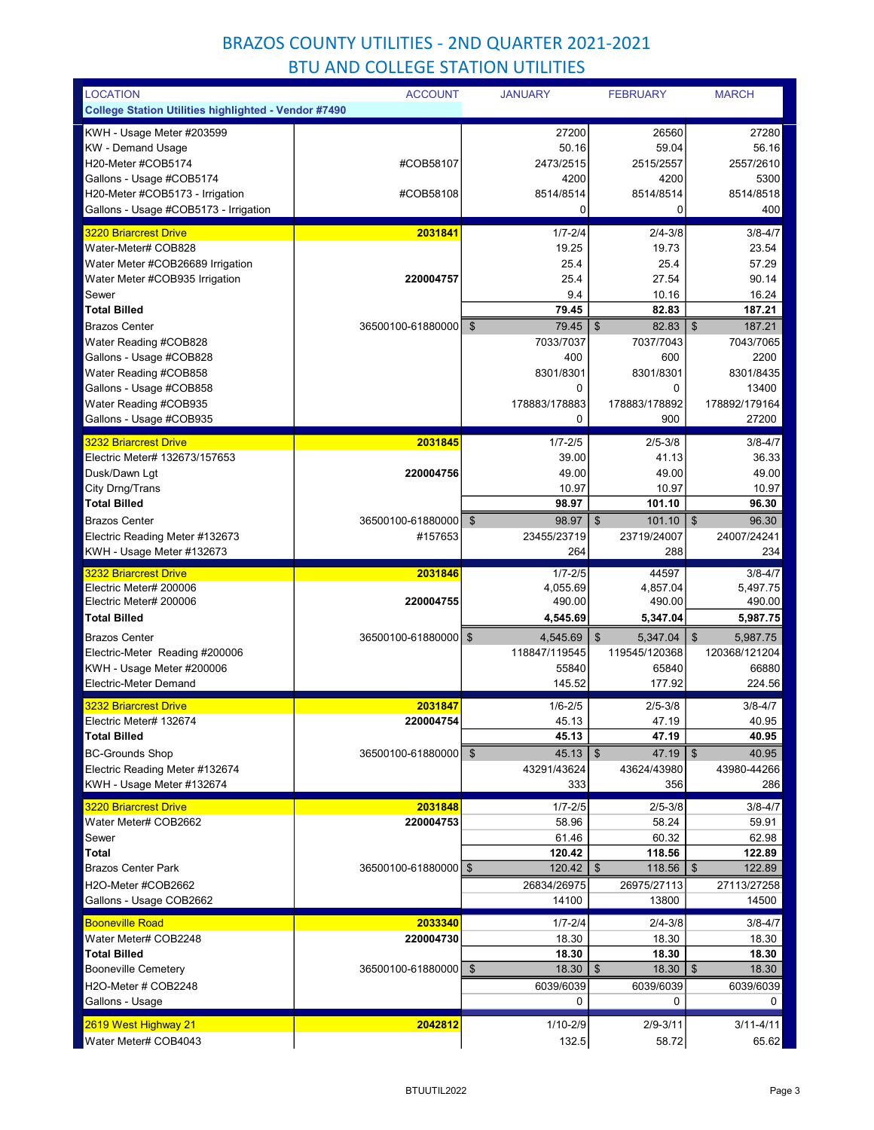| <b>LOCATION</b>                                             | <b>ACCOUNT</b>       | <b>JANUARY</b>             | <b>FEBRUARY</b>                                   | <b>MARCH</b>                           |
|-------------------------------------------------------------|----------------------|----------------------------|---------------------------------------------------|----------------------------------------|
| <b>College Station Utilities highlighted - Vendor #7490</b> |                      |                            |                                                   |                                        |
| KWH - Usage Meter #203599                                   |                      | 27200                      | 26560                                             | 27280                                  |
| <b>KW</b> - Demand Usage                                    |                      | 50.16                      | 59.04                                             | 56.16                                  |
| H20-Meter #COB5174                                          | #COB58107            | 2473/2515                  | 2515/2557                                         | 2557/2610                              |
| Gallons - Usage #COB5174                                    |                      | 4200                       | 4200                                              | 5300                                   |
| H20-Meter #COB5173 - Irrigation                             | #COB58108            | 8514/8514                  | 8514/8514                                         | 8514/8518                              |
| Gallons - Usage #COB5173 - Irrigation                       |                      | 0                          | 0                                                 | 400                                    |
| <b>3220 Briarcrest Drive</b>                                | 2031841              | $1/7 - 2/4$                | $2/4 - 3/8$                                       | $3/8 - 4/7$                            |
| Water-Meter# COB828                                         |                      | 19.25                      | 19.73                                             | 23.54                                  |
| Water Meter #COB26689 Irrigation                            |                      | 25.4                       | 25.4                                              | 57.29                                  |
| Water Meter #COB935 Irrigation                              | 220004757            | 25.4                       | 27.54                                             | 90.14                                  |
| Sewer                                                       |                      | 9.4                        | 10.16                                             | 16.24                                  |
| <b>Total Billed</b>                                         |                      | 79.45                      | 82.83                                             | 187.21                                 |
| <b>Brazos Center</b>                                        | 36500100-61880000    | \$<br>79.45                | 82.83<br>$\mathfrak{S}$                           | $\boldsymbol{\hat{s}}$<br>187.21       |
| Water Reading #COB828                                       |                      | 7033/7037                  | 7037/7043                                         | 7043/7065                              |
| Gallons - Usage #COB828                                     |                      | 400                        | 600                                               | 2200                                   |
| Water Reading #COB858                                       |                      | 8301/8301<br>0             | 8301/8301<br>0                                    | 8301/8435<br>13400                     |
| Gallons - Usage #COB858<br>Water Reading #COB935            |                      | 178883/178883              | 178883/178892                                     | 178892/179164                          |
| Gallons - Usage #COB935                                     |                      | 0                          | 900                                               | 27200                                  |
|                                                             |                      |                            |                                                   |                                        |
| <b>3232 Briarcrest Drive</b>                                | 2031845              | $1/7 - 2/5$                | $2/5 - 3/8$                                       | $3/8 - 4/7$                            |
| Electric Meter# 132673/157653                               |                      | 39.00                      | 41.13                                             | 36.33                                  |
| Dusk/Dawn Lgt                                               | 220004756            | 49.00                      | 49.00                                             | 49.00                                  |
| City Drng/Trans<br><b>Total Billed</b>                      |                      | 10.97<br>98.97             | 10.97<br>101.10                                   | 10.97<br>96.30                         |
| <b>Brazos Center</b>                                        | 36500100-61880000    | \$<br>98.97                | $\mathfrak{F}$<br>101.10                          | $\sqrt[6]{3}$<br>96.30                 |
| Electric Reading Meter #132673                              | #157653              | 23455/23719                | 23719/24007                                       | 24007/24241                            |
| KWH - Usage Meter #132673                                   |                      | 264                        | 288                                               | 234                                    |
|                                                             |                      |                            |                                                   |                                        |
|                                                             |                      |                            |                                                   |                                        |
| <b>3232 Briarcrest Drive</b>                                | 2031846              | $1/7 - 2/5$                | 44597                                             | $3/8 - 4/7$                            |
| Electric Meter# 200006                                      | 220004755            | 4,055.69                   | 4,857.04                                          | 5,497.75                               |
| Electric Meter# 200006<br><b>Total Billed</b>               |                      | 490.00                     | 490.00                                            | 490.00                                 |
|                                                             |                      | 4,545.69                   | 5,347.04                                          | 5,987.75                               |
| <b>Brazos Center</b>                                        | 36500100-61880000 \$ | 4,545.69                   | \$<br>5,347.04                                    | $\mathfrak{L}$<br>5,987.75             |
| Electric-Meter Reading #200006                              |                      | 118847/119545<br>55840     | 119545/120368<br>65840                            | 120368/121204<br>66880                 |
| KWH - Usage Meter #200006<br>Electric-Meter Demand          |                      | 145.52                     | 177.92                                            | 224.56                                 |
|                                                             |                      |                            |                                                   |                                        |
| <b>3232 Briarcrest Drive</b>                                | 2031847              | $1/6 - 2/5$                | $2/5 - 3/8$                                       | $3/8 - 4/7$                            |
| Electric Meter# 132674                                      | 220004754            | 45.13                      | 47.19                                             | 40.95                                  |
| <b>Total Billed</b>                                         |                      | 45.13                      | 47.19                                             | 40.95                                  |
| <b>BC-Grounds Shop</b>                                      | 36500100-61880000    | \$<br>45.13<br>43291/43624 | $\boldsymbol{\mathsf{S}}$<br>47.19<br>43624/43980 | $\mathfrak{S}$<br>40.95<br>43980-44266 |
| Electric Reading Meter #132674<br>KWH - Usage Meter #132674 |                      | 333                        | 356                                               | 286                                    |
|                                                             |                      |                            |                                                   |                                        |
| 3220 Briarcrest Drive                                       | 2031848              | $1/7 - 2/5$                | $2/5 - 3/8$                                       | $3/8 - 4/7$                            |
| Water Meter# COB2662<br>Sewer                               | 220004753            | 58.96                      | 58.24                                             | 59.91                                  |
| <b>Total</b>                                                |                      | 61.46<br>120.42            | 60.32<br>118.56                                   | 62.98<br>122.89                        |
| <b>Brazos Center Park</b>                                   | 36500100-61880000 \$ | 120.42                     | \$<br>118.56                                      | 122.89<br>\$                           |
| H2O-Meter #COB2662                                          |                      | 26834/26975                | 26975/27113                                       | 27113/27258                            |
| Gallons - Usage COB2662                                     |                      | 14100                      | 13800                                             | 14500                                  |
| <b>Booneville Road</b>                                      | 2033340              |                            | $2/4 - 3/8$                                       | $3/8 - 4/7$                            |
| Water Meter# COB2248                                        | 220004730            | $1/7 - 2/4$<br>18.30       | 18.30                                             | 18.30                                  |
| <b>Total Billed</b>                                         |                      | 18.30                      | 18.30                                             | 18.30                                  |
| <b>Booneville Cemetery</b>                                  | 36500100-61880000 \$ | 18.30                      | $\mathfrak{L}$<br>18.30                           | \$<br>18.30                            |
| H2O-Meter # COB2248                                         |                      | 6039/6039                  | 6039/6039                                         | 6039/6039                              |
| Gallons - Usage                                             |                      | 0                          | 0                                                 | 0                                      |
| 2619 West Highway 21                                        | 2042812              | 1/10-2/9                   | $2/9 - 3/11$                                      | $3/11 - 4/11$                          |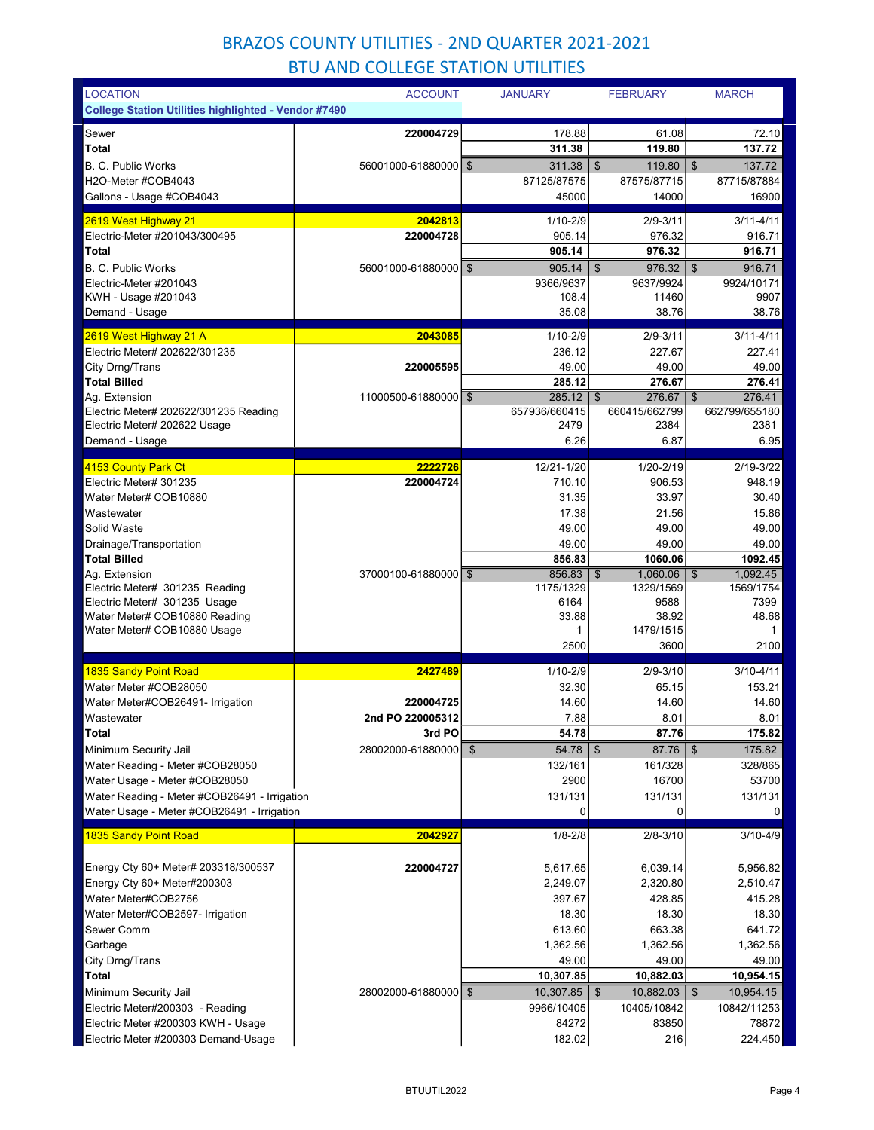| <b>LOCATION</b>                                                       | <b>ACCOUNT</b>         | <b>JANUARY</b>         | <b>FEBRUARY</b>                     | <b>MARCH</b>                          |
|-----------------------------------------------------------------------|------------------------|------------------------|-------------------------------------|---------------------------------------|
| <b>College Station Utilities highlighted - Vendor #7490</b>           |                        |                        |                                     |                                       |
| Sewer                                                                 | 220004729              | 178.88                 | 61.08                               | 72.10                                 |
| Total                                                                 |                        | 311.38                 | 119.80                              | 137.72                                |
| <b>B. C. Public Works</b>                                             | 56001000-61880000   \$ | 311.38                 | $\boldsymbol{\mathsf{S}}$<br>119.80 | 137.72<br>\$                          |
| H2O-Meter #COB4043                                                    |                        | 87125/87575            | 87575/87715                         | 87715/87884                           |
| Gallons - Usage #COB4043                                              |                        | 45000                  | 14000                               | 16900                                 |
| 2619 West Highway 21                                                  | 2042813                | $1/10 - 2/9$           | $2/9 - 3/11$                        | $3/11 - 4/11$                         |
| Electric-Meter #201043/300495                                         | 220004728              | 905.14                 | 976.32                              | 916.71                                |
| Total                                                                 |                        | 905.14                 | 976.32                              | 916.71                                |
| <b>B. C. Public Works</b>                                             | 56001000-61880000   \$ | 905.14                 | \$<br>976.32                        | $\boldsymbol{\$}$<br>916.71           |
| Electric-Meter #201043<br>KWH - Usage #201043                         |                        | 9366/9637<br>108.4     | 9637/9924<br>11460                  | 9924/10171<br>9907                    |
| Demand - Usage                                                        |                        | 35.08                  | 38.76                               | 38.76                                 |
|                                                                       |                        |                        |                                     |                                       |
| 2619 West Highway 21 A<br>Electric Meter# 202622/301235               | 2043085                | $1/10 - 2/9$<br>236.12 | $2/9 - 3/11$<br>227.67              | $3/11 - 4/11$<br>227.41               |
| City Drng/Trans                                                       | 220005595              | 49.00                  | 49.00                               | 49.00                                 |
| <b>Total Billed</b>                                                   |                        | 285.12                 | 276.67                              | 276.41                                |
| Ag. Extension                                                         | 11000500-61880000 \$   | 285.12                 | 276.67<br>$\mathbf{\$}$             | 276.41<br>\$                          |
| Electric Meter# 202622/301235 Reading                                 |                        | 657936/660415          | 660415/662799                       | 662799/655180                         |
| Electric Meter# 202622 Usage                                          |                        | 2479                   | 2384                                | 2381                                  |
| Demand - Usage                                                        |                        | 6.26                   | 6.87                                | 6.95                                  |
| 4153 County Park Ct                                                   | 2222726                | 12/21-1/20             | 1/20-2/19                           | 2/19-3/22                             |
| Electric Meter# 301235                                                | 220004724              | 710.10                 | 906.53                              | 948.19                                |
| Water Meter# COB10880                                                 |                        | 31.35                  | 33.97                               | 30.40                                 |
| Wastewater                                                            |                        | 17.38                  | 21.56                               | 15.86                                 |
| Solid Waste                                                           |                        | 49.00                  | 49.00                               | 49.00                                 |
| Drainage/Transportation<br><b>Total Billed</b>                        |                        | 49.00<br>856.83        | 49.00<br>1060.06                    | 49.00<br>1092.45                      |
| Ag. Extension                                                         | 37000100-61880000 \$   | 856.83                 | $\mathbf{\hat{s}}$<br>1,060.06      | $\overline{\mathfrak{s}}$<br>1,092.45 |
| Electric Meter# 301235 Reading                                        |                        | 1175/1329              | 1329/1569                           | 1569/1754                             |
| Electric Meter# 301235 Usage                                          |                        | 6164                   | 9588                                | 7399                                  |
| Water Meter# COB10880 Reading<br>Water Meter# COB10880 Usage          |                        | 33.88<br>1             | 38.92<br>1479/1515                  | 48.68<br>1                            |
|                                                                       |                        | 2500                   | 3600                                | 2100                                  |
|                                                                       |                        |                        |                                     |                                       |
| 1835 Sandy Point Road<br>Water Meter #COB28050                        | 2427489                | $1/10 - 2/9$<br>32.30  | $2/9 - 3/10$<br>65.15               | $3/10 - 4/11$<br>153.21               |
| Water Meter#COB26491- Irrigation                                      | 220004725              | 14.60                  | 14.60                               | 14.60                                 |
| Wastewater                                                            | 2nd PO 220005312       | 7.88                   | 8.01                                | 8.01                                  |
| Total                                                                 | 3rd PO                 | 54.78                  | 87.76                               | 175.82                                |
| Minimum Security Jail                                                 | 28002000-61880000      | 54.78<br>\$            | 87.76<br>\$                         | $\boldsymbol{\$}$<br>175.82           |
| Water Reading - Meter #COB28050                                       |                        | 132/161                | 161/328                             | 328/865                               |
| Water Usage - Meter #COB28050                                         |                        | 2900                   | 16700                               | 53700                                 |
| Water Reading - Meter #COB26491 - Irrigation                          |                        | 131/131<br>0           | 131/131<br>0                        | 131/131                               |
| Water Usage - Meter #COB26491 - Irrigation                            |                        |                        |                                     | $\overline{0}$                        |
| <b>1835 Sandy Point Road</b>                                          | 2042927                | $1/8 - 2/8$            | $2/8 - 3/10$                        | $3/10 - 4/9$                          |
| Energy Cty 60+ Meter# 203318/300537                                   |                        |                        |                                     |                                       |
| Energy Cty 60+ Meter#200303                                           | 220004727              | 5,617.65<br>2,249.07   | 6,039.14<br>2,320.80                | 5,956.82<br>2,510.47                  |
| Water Meter#COB2756                                                   |                        | 397.67                 | 428.85                              | 415.28                                |
| Water Meter#COB2597- Irrigation                                       |                        | 18.30                  | 18.30                               | 18.30                                 |
| Sewer Comm                                                            |                        | 613.60                 | 663.38                              | 641.72                                |
| Garbage                                                               |                        | 1,362.56               | 1,362.56                            | 1,362.56                              |
| City Drng/Trans                                                       |                        | 49.00                  | 49.00                               | 49.00                                 |
| Total                                                                 |                        | 10,307.85              | 10,882.03                           | 10,954.15                             |
| Minimum Security Jail                                                 | 28002000-61880000   \$ | 10,307.85              | \$<br>$10,882.03$ \ \$              | 10,954.15                             |
| Electric Meter#200303 - Reading<br>Electric Meter #200303 KWH - Usage |                        | 9966/10405<br>84272    | 10405/10842<br>83850                | 10842/11253<br>78872                  |
| Electric Meter #200303 Demand-Usage                                   |                        | 182.02                 | 216                                 | 224.450                               |
|                                                                       |                        |                        |                                     |                                       |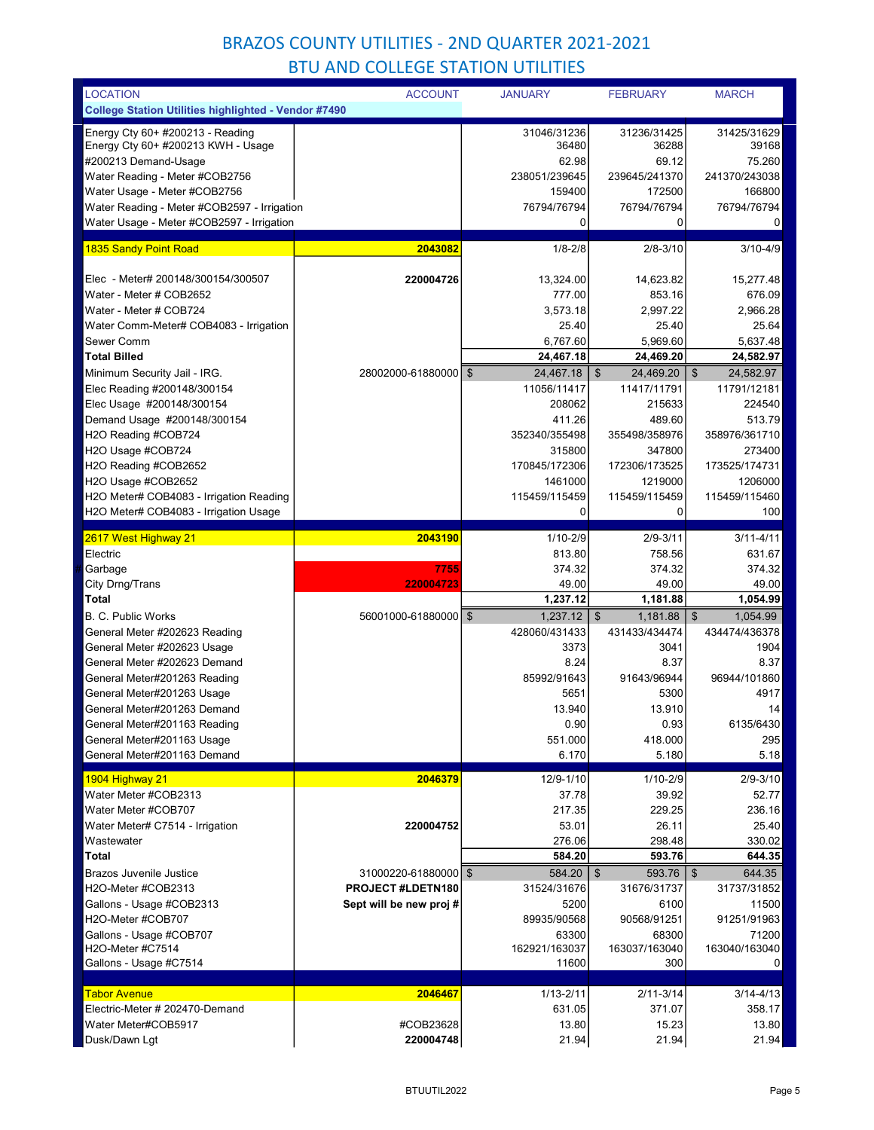| <b>LOCATION</b>                                             | <b>ACCOUNT</b>         | <b>JANUARY</b> | <b>FEBRUARY</b>            | <b>MARCH</b>                        |
|-------------------------------------------------------------|------------------------|----------------|----------------------------|-------------------------------------|
| <b>College Station Utilities highlighted - Vendor #7490</b> |                        |                |                            |                                     |
| Energy Cty $60+$ #200213 - Reading                          |                        | 31046/31236    | 31236/31425                | 31425/31629                         |
| Energy Cty 60+ #200213 KWH - Usage                          |                        | 36480          | 36288                      | 39168                               |
| #200213 Demand-Usage                                        |                        | 62.98          | 69.12                      | 75.260                              |
| Water Reading - Meter #COB2756                              |                        | 238051/239645  | 239645/241370              | 241370/243038                       |
| Water Usage - Meter #COB2756                                |                        | 159400         | 172500                     | 166800                              |
| Water Reading - Meter #COB2597 - Irrigation                 |                        | 76794/76794    | 76794/76794                | 76794/76794                         |
| Water Usage - Meter #COB2597 - Irrigation                   |                        | $\mathbf 0$    | 0                          | $\mathbf 0$                         |
|                                                             |                        |                |                            |                                     |
| 1835 Sandy Point Road                                       | 2043082                | $1/8 - 2/8$    | $2/8 - 3/10$               | $3/10 - 4/9$                        |
| Elec - Meter# 200148/300154/300507                          | 220004726              | 13.324.00      | 14,623.82                  | 15,277.48                           |
| Water - Meter # COB2652                                     |                        | 777.00         | 853.16                     | 676.09                              |
| Water - Meter # COB724                                      |                        | 3,573.18       | 2,997.22                   | 2,966.28                            |
| Water Comm-Meter# COB4083 - Irrigation                      |                        | 25.40          | 25.40                      | 25.64                               |
| Sewer Comm                                                  |                        | 6,767.60       | 5,969.60                   | 5,637.48                            |
| <b>Total Billed</b>                                         |                        | 24,467.18      | 24,469.20                  | 24,582.97                           |
| Minimum Security Jail - IRG.                                | 28002000-61880000 \$   | 24,467.18      | 24,469.20<br>\$            | \$<br>24,582.97                     |
| Elec Reading #200148/300154                                 |                        | 11056/11417    | 11417/11791                | 11791/12181                         |
| Elec Usage #200148/300154                                   |                        | 208062         | 215633                     | 224540                              |
| Demand Usage #200148/300154                                 |                        | 411.26         | 489.60                     | 513.79                              |
| H2O Reading #COB724                                         |                        | 352340/355498  | 355498/358976              | 358976/361710                       |
| H2O Usage #COB724                                           |                        | 315800         | 347800                     | 273400                              |
| H2O Reading #COB2652                                        |                        | 170845/172306  | 172306/173525              | 173525/174731                       |
| H2O Usage #COB2652                                          |                        | 1461000        | 1219000                    | 1206000                             |
| H2O Meter# COB4083 - Irrigation Reading                     |                        | 115459/115459  | 115459/115459              | 115459/115460                       |
| H2O Meter# COB4083 - Irrigation Usage                       |                        | 0              | $\mathbf 0$                | 100                                 |
|                                                             |                        |                |                            |                                     |
| 2617 West Highway 21                                        | 2043190                | $1/10 - 2/9$   | $2/9 - 3/11$               | $3/11 - 4/11$                       |
| Electric                                                    |                        | 813.80         | 758.56                     | 631.67                              |
| Garbage                                                     | 7755                   | 374.32         | 374.32                     | 374.32                              |
| City Drng/Trans                                             | 220004723              | 49.00          | 49.00                      | 49.00                               |
| <b>Total</b>                                                |                        | 1,237.12       | 1,181.88                   | 1,054.99                            |
| B. C. Public Works                                          | 56001000-61880000 \$   | 1,237.12       | $\mathfrak{S}$<br>1,181.88 | $\sqrt[6]{\frac{1}{2}}$<br>1,054.99 |
| General Meter #202623 Reading                               |                        | 428060/431433  | 431433/434474              | 434474/436378                       |
| General Meter #202623 Usage                                 |                        | 3373           | 3041                       | 1904                                |
| General Meter #202623 Demand                                |                        | 8.24           | 8.37                       | 8.37                                |
| General Meter#201263 Reading                                |                        | 85992/91643    | 91643/96944                | 96944/101860                        |
| General Meter#201263 Usage                                  |                        | 5651           | 5300                       | 4917                                |
| General Meter#201263 Demand                                 |                        | 13.940         | 13.910                     | 14                                  |
| General Meter#201163 Reading                                |                        | 0.90           | 0.93                       | 6135/6430                           |
| General Meter#201163 Usage                                  |                        | 551.000        | 418.000                    | 295                                 |
| General Meter#201163 Demand                                 |                        | 6.170          | 5.180                      | 5.18                                |
| 1904 Highway 21                                             | 2046379                | 12/9-1/10      | $1/10 - 2/9$               | $2/9 - 3/10$                        |
| Water Meter #COB2313                                        |                        | 37.78          | 39.92                      | 52.77                               |
| Water Meter #COB707                                         |                        | 217.35         | 229.25                     | 236.16                              |
| Water Meter# C7514 - Irrigation                             | 220004752              | 53.01          | 26.11                      | 25.40                               |
| Wastewater                                                  |                        | 276.06         | 298.48                     | 330.02                              |
| Total                                                       |                        | 584.20         | 593.76                     | 644.35                              |
| <b>Brazos Juvenile Justice</b>                              | 31000220-61880000 \$   | $584.20$   \$  | 593.76                     | $\frac{1}{2}$<br>644.35             |
|                                                             |                        |                |                            |                                     |
| H2O-Meter #COB2313                                          | PROJECT#LDETN180       | 31524/31676    | 31676/31737                | 31737/31852                         |
| Gallons - Usage #COB2313                                    | Sept will be new proj# | 5200           | 6100                       | 11500                               |
| H2O-Meter #COB707                                           |                        | 89935/90568    | 90568/91251                | 91251/91963                         |
| Gallons - Usage #COB707                                     |                        | 63300          | 68300                      | 71200                               |
| H2O-Meter #C7514                                            |                        | 162921/163037  | 163037/163040              | 163040/163040                       |
| Gallons - Usage #C7514                                      |                        | 11600          | 300                        | 0                                   |
|                                                             |                        |                |                            |                                     |
| <b>Tabor Avenue</b>                                         | 2046467                | $1/13 - 2/11$  | $2/11 - 3/14$              | $3/14 - 4/13$                       |
| Electric-Meter # 202470-Demand                              |                        | 631.05         | 371.07                     | 358.17                              |
| Water Meter#COB5917<br>Dusk/Dawn Lgt                        | #COB23628<br>220004748 | 13.80<br>21.94 | 15.23<br>21.94             | 13.80<br>21.94                      |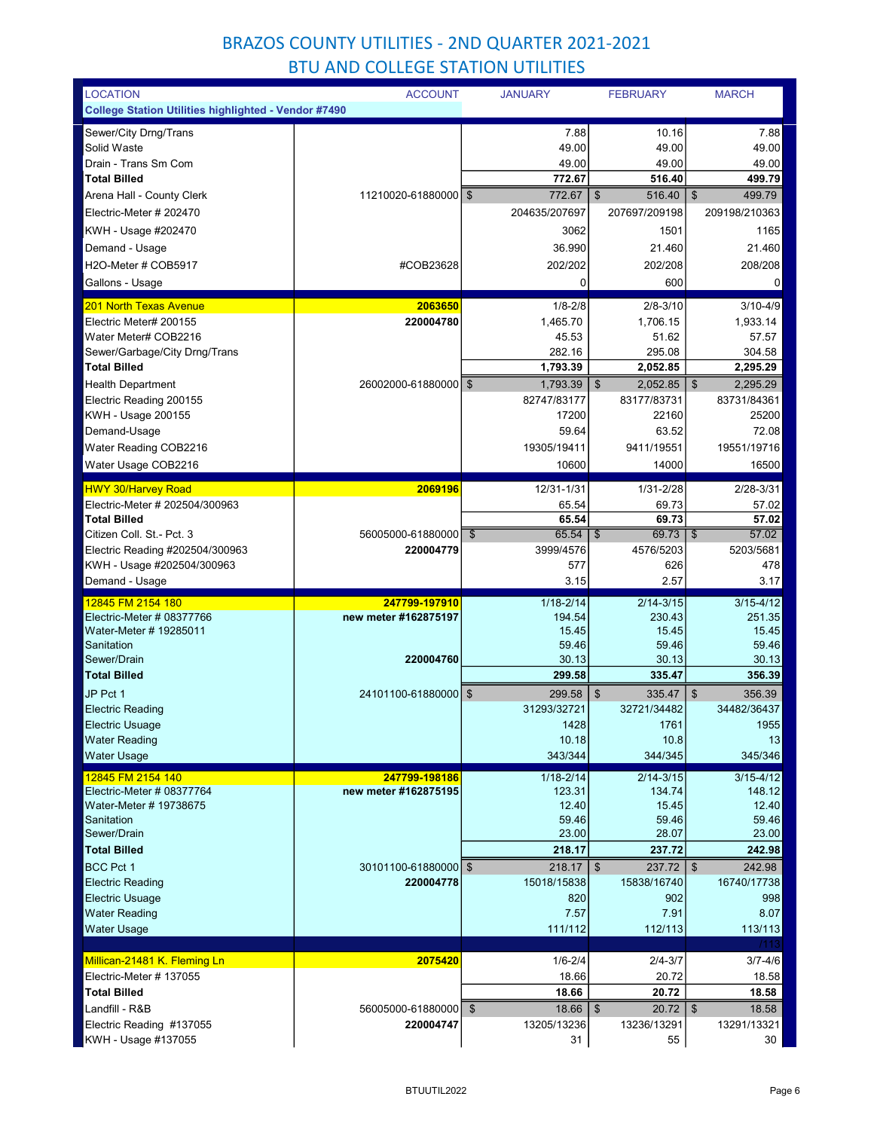| <b>LOCATION</b>                                             | <b>ACCOUNT</b>         | <b>JANUARY</b>                    | <b>FEBRUARY</b>                              | <b>MARCH</b>                        |
|-------------------------------------------------------------|------------------------|-----------------------------------|----------------------------------------------|-------------------------------------|
| College Station Utilities highlighted - Vendor #7490        |                        |                                   |                                              |                                     |
| Sewer/City Drng/Trans                                       |                        | 7.88                              | 10.16                                        | 7.88                                |
| Solid Waste                                                 |                        | 49.00                             | 49.00                                        | 49.00                               |
| Drain - Trans Sm Com                                        |                        | 49.00                             | 49.00                                        | 49.00                               |
| <b>Total Billed</b>                                         |                        | 772.67                            | 516.40                                       | 499.79                              |
| Arena Hall - County Clerk                                   | 11210020-61880000 \$   | 772.67                            | $\mathfrak{F}$<br>516.40                     | $\boldsymbol{\mathsf{S}}$<br>499.79 |
| Electric-Meter # 202470                                     |                        | 204635/207697                     | 207697/209198                                | 209198/210363                       |
| KWH - Usage #202470                                         |                        | 3062                              | 1501                                         | 1165                                |
| Demand - Usage                                              |                        | 36.990                            | 21.460                                       | 21.460                              |
| H2O-Meter # COB5917                                         | #COB23628              | 202/202                           | 202/208                                      | 208/208                             |
| Gallons - Usage                                             |                        | $\mathbf 0$                       | 600                                          | 0                                   |
| <b>201 North Texas Avenue</b>                               | 2063650                | $1/8 - 2/8$                       | $2/8 - 3/10$                                 | $3/10 - 4/9$                        |
| Electric Meter# 200155                                      | 220004780              | 1,465.70                          | 1,706.15                                     | 1,933.14                            |
| Water Meter# COB2216                                        |                        | 45.53                             | 51.62                                        | 57.57                               |
| Sewer/Garbage/City Drng/Trans                               |                        | 282.16                            | 295.08                                       | 304.58                              |
| <b>Total Billed</b>                                         |                        | 1.793.39                          | 2,052.85                                     | 2,295.29                            |
| <b>Health Department</b><br>Electric Reading 200155         | 26002000-61880000 \$   | 1,793.39<br>82747/83177           | 2,052.85<br>$\boldsymbol{\$}$<br>83177/83731 | \$<br>2,295.29<br>83731/84361       |
| KWH - Usage 200155                                          |                        | 17200                             | 22160                                        | 25200                               |
| Demand-Usage                                                |                        | 59.64                             | 63.52                                        | 72.08                               |
| Water Reading COB2216                                       |                        | 19305/19411                       | 9411/19551                                   | 19551/19716                         |
| Water Usage COB2216                                         |                        | 10600                             | 14000                                        | 16500                               |
|                                                             | 2069196                | 12/31-1/31                        | 1/31-2/28                                    | 2/28-3/31                           |
| <b>HWY 30/Harvey Road</b><br>Electric-Meter # 202504/300963 |                        | 65.54                             | 69.73                                        | 57.02                               |
| <b>Total Billed</b>                                         |                        | 65.54                             | 69.73                                        | 57.02                               |
| Citizen Coll. St. - Pct. 3                                  | 56005000-61880000      | $\overline{\mathcal{S}}$<br>65.54 | 69.73<br>  \$                                | 57.02<br>$\mathfrak{F}$             |
| Electric Reading #202504/300963                             | 220004779              | 3999/4576                         | 4576/5203                                    | 5203/5681                           |
| KWH - Usage #202504/300963                                  |                        | 577                               | 626                                          | 478                                 |
| Demand - Usage                                              |                        | 3.15                              | 2.57                                         | 3.17                                |
| 12845 FM 2154 180                                           | 247799-197910          | $1/18 - 2/14$                     | $2/14 - 3/15$                                | $3/15 - 4/12$                       |
| Electric-Meter # 08377766                                   | new meter #162875197   | 194.54                            | 230.43                                       | 251.35                              |
| Water-Meter # 19285011                                      |                        | 15.45                             | 15.45                                        | 15.45                               |
| Sanitation<br>Sewer/Drain                                   | 220004760              | 59.46<br>30.13                    | 59.46<br>30.13                               | 59.46<br>30.13                      |
| <b>Total Billed</b>                                         |                        | 299.58                            | 335.47                                       | 356.39                              |
| JP Pct 1                                                    | 24101100-61880000 \$   | 299.58                            | $\sqrt[6]{3}$<br>335.47                      | \$<br>356.39                        |
| <b>Electric Reading</b>                                     |                        | 31293/32721                       | 32721/34482                                  | 34482/36437                         |
| <b>Electric Usuage</b>                                      |                        | 1428                              | 1761                                         | 1955                                |
| <b>Water Reading</b>                                        |                        | 10.18                             | 10.8                                         | 13                                  |
| <b>Water Usage</b>                                          |                        | 343/344                           | 344/345                                      | 345/346                             |
| 12845 FM 2154 140                                           | 247799-198186          | $1/18 - 2/14$                     | $2/14 - 3/15$                                | $3/15 - 4/12$                       |
| Electric-Meter # 08377764                                   | new meter #162875195   | 123.31                            | 134.74                                       | 148.12                              |
| Water-Meter # 19738675<br>Sanitation                        |                        | 12.40<br>59.46                    | 15.45<br>59.46                               | 12.40<br>59.46                      |
| Sewer/Drain                                                 |                        | 23.00                             | 28.07                                        | 23.00                               |
| <b>Total Billed</b>                                         |                        | 218.17                            | 237.72                                       | 242.98                              |
| <b>BCC Pct 1</b>                                            | 30101100-61880000   \$ | 218.17                            | $\mathfrak{F}$<br>237.72                     | $\mathfrak{S}$<br>242.98            |
| <b>Electric Reading</b>                                     | 220004778              | 15018/15838                       | 15838/16740                                  | 16740/17738                         |
| Electric Usuage                                             |                        | 820                               | 902                                          | 998                                 |
| <b>Water Reading</b>                                        |                        | 7.57                              | 7.91                                         | 8.07                                |
| <b>Water Usage</b>                                          |                        | 111/112                           | 112/113                                      | 113/113                             |
|                                                             |                        |                                   |                                              | /113                                |
| Millican-21481 K. Fleming Ln<br>Electric-Meter # 137055     | 2075420                | $1/6 - 2/4$<br>18.66              | $2/4 - 3/7$<br>20.72                         | $3/7 - 4/6$<br>18.58                |
| <b>Total Billed</b>                                         |                        | 18.66                             | 20.72                                        | 18.58                               |
| Landfill - R&B                                              | 56005000-61880000      | \$                                | 20.72                                        | $\frac{1}{2}$<br>18.58              |
| Electric Reading #137055                                    | 220004747              | 13205/13236                       | 13236/13291                                  | 13291/13321                         |
| KWH - Usage #137055                                         |                        | 31                                | 55                                           | 30                                  |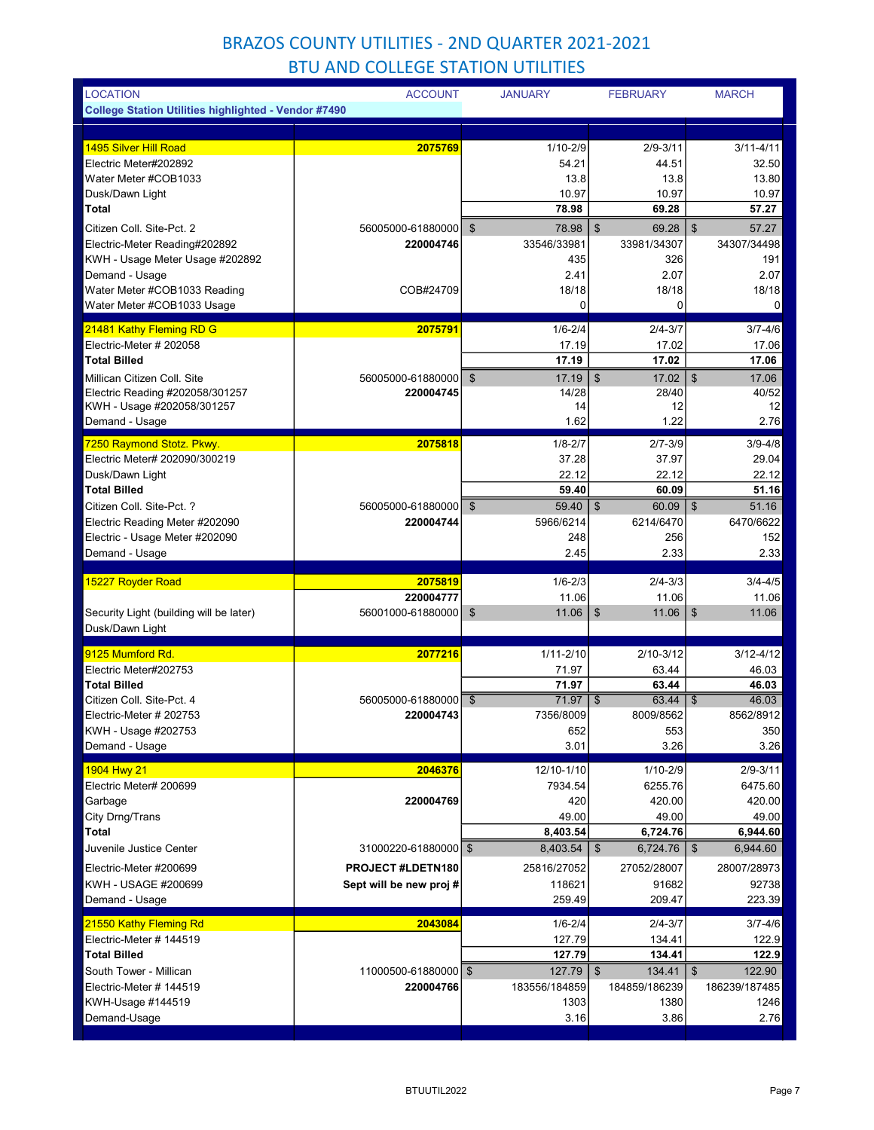| <b>LOCATION</b>                                                  | <b>ACCOUNT</b>                 | <b>JANUARY</b>                         | <b>FEBRUARY</b>            | <b>MARCH</b>                           |
|------------------------------------------------------------------|--------------------------------|----------------------------------------|----------------------------|----------------------------------------|
| <b>College Station Utilities highlighted - Vendor #7490</b>      |                                |                                        |                            |                                        |
|                                                                  |                                |                                        |                            |                                        |
| <b>1495 Silver Hill Road</b>                                     | 2075769                        | $1/10 - 2/9$                           | $2/9 - 3/11$               | $3/11 - 4/11$                          |
| Electric Meter#202892                                            |                                | 54.21                                  | 44.51                      | 32.50                                  |
| Water Meter #COB1033                                             |                                | 13.8                                   | 13.8                       | 13.80                                  |
| Dusk/Dawn Light<br>Total                                         |                                | 10.97<br>78.98                         | 10.97<br>69.28             | 10.97<br>57.27                         |
|                                                                  |                                |                                        |                            |                                        |
| Citizen Coll. Site-Pct. 2<br>Electric-Meter Reading#202892       | 56005000-61880000<br>220004746 | $\mathfrak{S}$<br>78.98<br>33546/33981 | \$<br>69.28<br>33981/34307 | $\mathfrak{S}$<br>57.27<br>34307/34498 |
| KWH - Usage Meter Usage #202892                                  |                                | 435                                    | 326                        | 191                                    |
| Demand - Usage                                                   |                                | 2.41                                   | 2.07                       | 2.07                                   |
| Water Meter #COB1033 Reading                                     | COB#24709                      | 18/18                                  | 18/18                      | 18/18                                  |
| Water Meter #COB1033 Usage                                       |                                | 0                                      | 0                          | 0                                      |
| 21481 Kathy Fleming RD G                                         | 2075791                        | $1/6 - 2/4$                            | $2/4 - 3/7$                | $3/7 - 4/6$                            |
| Electric-Meter # 202058                                          |                                | 17.19                                  | 17.02                      | 17.06                                  |
| <b>Total Billed</b>                                              |                                | 17.19                                  | 17.02                      | 17.06                                  |
| Millican Citizen Coll. Site                                      | 56005000-61880000              | $\mathfrak{S}$<br>17.19                | $\mathfrak{S}$<br>17.02    | $\sqrt[6]{\frac{1}{2}}$<br>17.06       |
| Electric Reading #202058/301257                                  | 220004745                      | 14/28                                  | 28/40                      | 40/52                                  |
| KWH - Usage #202058/301257                                       |                                | 14                                     | 12                         | 12                                     |
| Demand - Usage                                                   |                                | 1.62                                   | 1.22                       | 2.76                                   |
| 7250 Raymond Stotz. Pkwy.                                        | 2075818                        | $1/8 - 2/7$                            | $2/7 - 3/9$                | $3/9 - 4/8$                            |
| Electric Meter# 202090/300219                                    |                                | 37.28                                  | 37.97                      | 29.04                                  |
| Dusk/Dawn Light                                                  |                                | 22.12                                  | 22.12                      | 22.12                                  |
| <b>Total Billed</b>                                              |                                | 59.40                                  | 60.09                      | 51.16                                  |
| Citizen Coll. Site-Pct. ?                                        | 56005000-61880000              | 59.40<br>$\mathfrak{S}$                | \$<br>60.09                | $\mathfrak{F}$<br>51.16                |
| Electric Reading Meter #202090<br>Electric - Usage Meter #202090 | 220004744                      | 5966/6214<br>248                       | 6214/6470<br>256           | 6470/6622<br>152                       |
| Demand - Usage                                                   |                                | 2.45                                   | 2.33                       | 2.33                                   |
|                                                                  |                                |                                        |                            |                                        |
|                                                                  |                                |                                        |                            |                                        |
| 15227 Royder Road                                                | 2075819                        | $1/6 - 2/3$                            | $2/4 - 3/3$                | $3/4 - 4/5$                            |
|                                                                  | 220004777                      | 11.06                                  | 11.06                      | 11.06                                  |
| Security Light (building will be later)<br>Dusk/Dawn Light       | 56001000-61880000              | 11.06<br>\$                            | \$<br>11.06                | $\sqrt[6]{3}$<br>11.06                 |
| 9125 Mumford Rd.                                                 | 2077216                        |                                        |                            | $3/12 - 4/12$                          |
| Electric Meter#202753                                            |                                | $1/11 - 2/10$<br>71.97                 | $2/10 - 3/12$<br>63.44     | 46.03                                  |
| <b>Total Billed</b>                                              |                                | 71.97                                  | 63.44                      | 46.03                                  |
| Citizen Coll. Site-Pct. 4                                        | 56005000-61880000              | $71.97$ \ \$<br>$\mathfrak{S}$         | 63.44                      | 46.03<br>$\mathfrak{S}$                |
| Electric-Meter # 202753                                          | 220004743                      | 7356/8009                              | 8009/8562                  | 8562/8912                              |
| KWH - Usage #202753                                              |                                | 652                                    | 553                        | 350                                    |
| Demand - Usage                                                   |                                | 3.01                                   | 3.26                       | 3.26                                   |
| 1904 Hwy 21                                                      | 2046376                        | 12/10-1/10                             | 1/10-2/9                   | $2/9 - 3/11$                           |
| Electric Meter# 200699                                           |                                | 7934.54                                | 6255.76                    | 6475.60                                |
| Garbage                                                          | 220004769                      | 420                                    | 420.00                     | 420.00                                 |
| City Drng/Trans                                                  |                                | 49.00                                  | 49.00                      | 49.00                                  |
| Total                                                            |                                | 8,403.54                               | 6,724.76                   | 6,944.60                               |
| Juvenile Justice Center                                          | 31000220-61880000 \$           | 8,403.54                               | $\mathfrak{S}$<br>6,724.76 | $\sqrt[6]{2}$<br>6,944.60              |
| Electric-Meter #200699                                           | PROJECT #LDETN180              | 25816/27052                            | 27052/28007                | 28007/28973                            |
| KWH - USAGE #200699                                              | Sept will be new proj#         | 118621                                 | 91682                      | 92738                                  |
| Demand - Usage                                                   |                                | 259.49                                 | 209.47                     | 223.39                                 |
| 21550 Kathy Fleming Rd                                           | 2043084                        | $1/6 - 2/4$                            | $2/4 - 3/7$                | $3/7 - 4/6$                            |
| Electric-Meter # 144519                                          |                                | 127.79                                 | 134.41                     | 122.9                                  |
| <b>Total Billed</b>                                              |                                | 127.79                                 | 134.41                     | 122.9                                  |
| South Tower - Millican                                           | 11000500-61880000   \$         | 127.79                                 | 134.41<br>\$               | 122.90<br>\$                           |
| Electric-Meter # 144519                                          | 220004766                      | 183556/184859                          | 184859/186239              | 186239/187485                          |
| KWH-Usage #144519<br>Demand-Usage                                |                                | 1303<br>3.16                           | 1380<br>3.86               | 1246<br>2.76                           |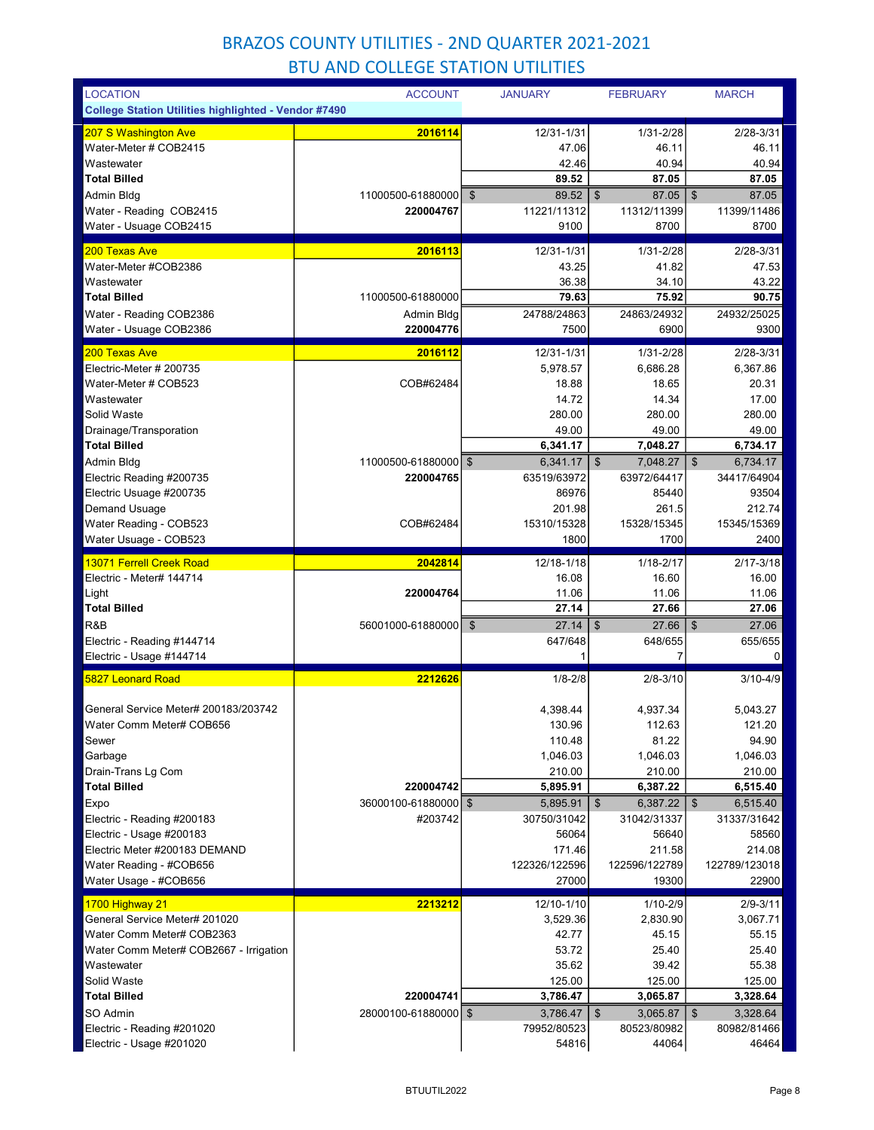| <b>LOCATION</b>                                             | <b>ACCOUNT</b>         | <b>JANUARY</b>                     | <b>FEBRUARY</b>                       | <b>MARCH</b>                       |
|-------------------------------------------------------------|------------------------|------------------------------------|---------------------------------------|------------------------------------|
| <b>College Station Utilities highlighted - Vendor #7490</b> |                        |                                    |                                       |                                    |
| 207 S Washington Ave                                        | 2016114                | 12/31-1/31                         | 1/31-2/28                             | $2/28 - 3/31$                      |
| Water-Meter # COB2415                                       |                        | 47.06                              | 46.11                                 | 46.11                              |
| Wastewater                                                  |                        | 42.46                              | 40.94                                 | 40.94                              |
| <b>Total Billed</b>                                         |                        | 89.52                              | 87.05                                 | 87.05                              |
| Admin Bldg                                                  | 11000500-61880000      | $\boldsymbol{\mathsf{S}}$<br>89.52 | \$<br>87.05                           | 87.05<br>$\mathfrak{F}$            |
| Water - Reading COB2415                                     | 220004767              | 11221/11312<br>9100                | 11312/11399<br>8700                   | 11399/11486<br>8700                |
| Water - Usuage COB2415                                      |                        |                                    |                                       |                                    |
| 200 Texas Ave                                               | 2016113                | 12/31-1/31                         | 1/31-2/28                             | 2/28-3/31                          |
| Water-Meter #COB2386<br>Wastewater                          |                        | 43.25                              | 41.82                                 | 47.53                              |
| <b>Total Billed</b>                                         | 11000500-61880000      | 36.38<br>79.63                     | 34.10<br>75.92                        | 43.22<br>90.75                     |
| Water - Reading COB2386                                     | Admin Bldg             | 24788/24863                        | 24863/24932                           | 24932/25025                        |
| Water - Usuage COB2386                                      | 220004776              | 7500                               | 6900                                  | 9300                               |
| 200 Texas Ave                                               | 2016112                | 12/31-1/31                         | 1/31-2/28                             | $2/28 - 3/31$                      |
| Electric-Meter # 200735                                     |                        | 5,978.57                           | 6,686.28                              | 6,367.86                           |
| Water-Meter # COB523                                        | COB#62484              | 18.88                              | 18.65                                 | 20.31                              |
| Wastewater                                                  |                        | 14.72                              | 14.34                                 | 17.00                              |
| Solid Waste                                                 |                        | 280.00                             | 280.00                                | 280.00                             |
| Drainage/Transporation                                      |                        | 49.00                              | 49.00                                 | 49.00                              |
| <b>Total Billed</b>                                         |                        | 6,341.17                           | 7,048.27                              | 6,734.17                           |
| Admin Bldg                                                  | 11000500-61880000 \$   | 6,341.17                           | 7.048.27<br>\$                        | $\mathfrak{S}$<br>6,734.17         |
| Electric Reading #200735                                    | 220004765              | 63519/63972                        | 63972/64417                           | 34417/64904                        |
| Electric Usuage #200735                                     |                        | 86976                              | 85440                                 | 93504                              |
| <b>Demand Usuage</b><br>Water Reading - COB523              | COB#62484              | 201.98<br>15310/15328              | 261.5<br>15328/15345                  | 212.74<br>15345/15369              |
| Water Usuage - COB523                                       |                        | 1800                               | 1700                                  | 2400                               |
|                                                             |                        |                                    |                                       |                                    |
| 13071 Ferrell Creek Road<br>Electric - Meter# 144714        | 2042814                | 12/18-1/18<br>16.08                | $1/18 - 2/17$<br>16.60                | $2/17 - 3/18$<br>16.00             |
| Light                                                       | 220004764              | 11.06                              | 11.06                                 | 11.06                              |
| <b>Total Billed</b>                                         |                        | 27.14                              | 27.66                                 | 27.06                              |
| R&B                                                         | 56001000-61880000   \$ | 27.14                              | \$<br>27.66                           | $\boldsymbol{\mathsf{S}}$<br>27.06 |
| Electric - Reading #144714                                  |                        | 647/648                            | 648/655                               | 655/655                            |
| Electric - Usage #144714                                    |                        | 1                                  | 7                                     | 0                                  |
| <b>5827 Leonard Road</b>                                    | 2212626                | $1/8 - 2/8$                        | $2/8 - 3/10$                          | $3/10 - 4/9$                       |
| General Service Meter# 200183/203742                        |                        | 4,398.44                           | 4,937.34                              | 5,043.27                           |
| Water Comm Meter# COB656                                    |                        | 130.96                             | 112.63                                | 121.20                             |
| Sewer                                                       |                        | 110.48                             | 81.22                                 | 94.90                              |
| Garbage                                                     |                        | 1,046.03                           | 1,046.03                              | 1,046.03                           |
| Drain-Trans Lg Com                                          |                        | 210.00                             | 210.00                                | 210.00                             |
| <b>Total Billed</b>                                         | 220004742              | 5,895.91                           | 6,387.22                              | 6,515.40                           |
| Expo                                                        | 36000100-61880000 \$   | 5,895.91                           | \$<br>6,387.22                        | \$<br>6,515.40                     |
| Electric - Reading #200183                                  | #203742                | 30750/31042                        | 31042/31337                           | 31337/31642                        |
| Electric - Usage #200183                                    |                        | 56064                              | 56640                                 | 58560                              |
| Electric Meter #200183 DEMAND<br>Water Reading - #COB656    |                        | 171.46<br>122326/122596            | 211.58<br>122596/122789               | 214.08<br>122789/123018            |
| Water Usage - #COB656                                       |                        | 27000                              | 19300                                 | 22900                              |
| 1700 Highway 21                                             | 2213212                | 12/10-1/10                         | $1/10 - 2/9$                          | $2/9 - 3/11$                       |
| General Service Meter# 201020                               |                        | 3,529.36                           | 2,830.90                              | 3,067.71                           |
| Water Comm Meter# COB2363                                   |                        | 42.77                              | 45.15                                 | 55.15                              |
| Water Comm Meter# COB2667 - Irrigation                      |                        | 53.72                              | 25.40                                 | 25.40                              |
| Wastewater                                                  |                        | 35.62                              | 39.42                                 | 55.38                              |
| Solid Waste                                                 |                        | 125.00                             | 125.00                                | 125.00                             |
| <b>Total Billed</b>                                         | 220004741              | 3,786.47                           | 3,065.87                              | 3,328.64                           |
| SO Admin                                                    | 28000100-61880000   \$ | 3,786.47                           | 3,065.87<br>$\boldsymbol{\mathsf{s}}$ | $\mathfrak{S}$<br>3,328.64         |
| Electric - Reading #201020<br>Electric - Usage #201020      |                        | 79952/80523<br>54816               | 80523/80982<br>44064                  | 80982/81466<br>46464               |
|                                                             |                        |                                    |                                       |                                    |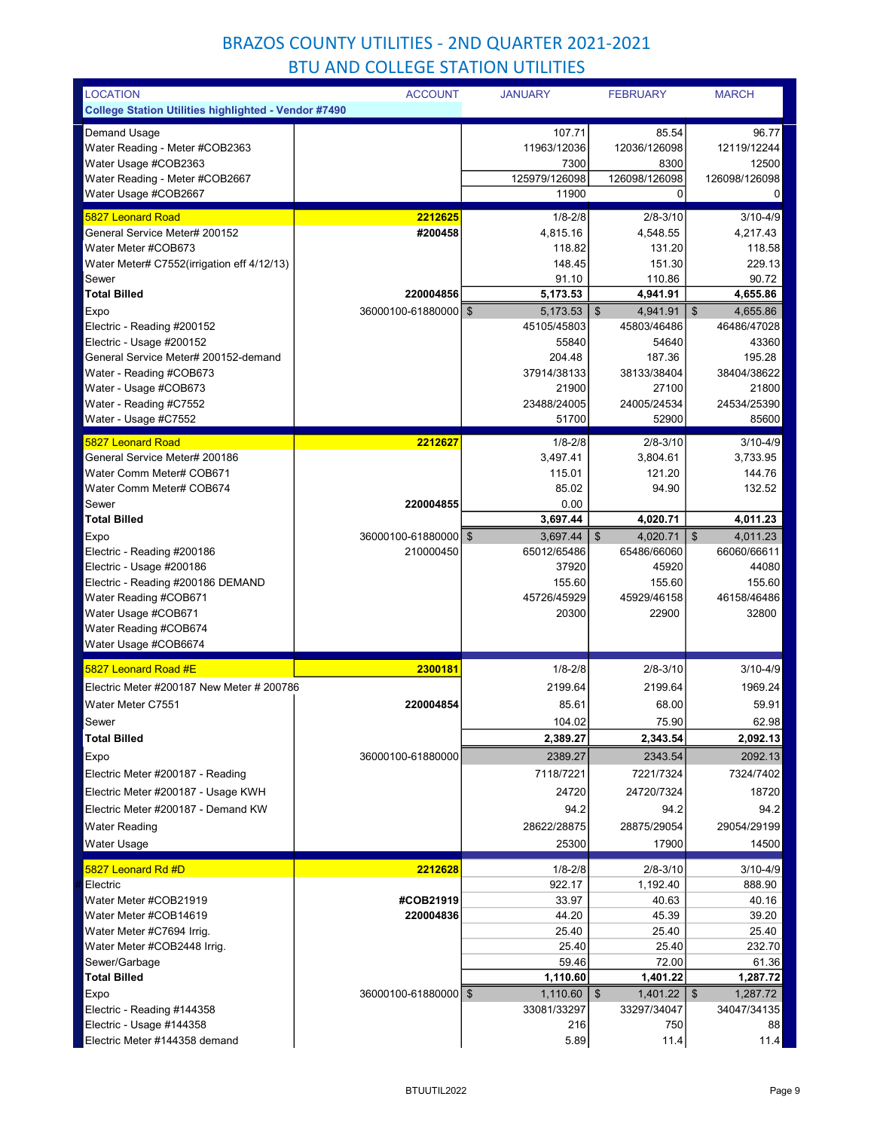| <b>LOCATION</b>                                             | <b>ACCOUNT</b>       | <b>JANUARY</b> | <b>FEBRUARY</b>            | <b>MARCH</b>               |
|-------------------------------------------------------------|----------------------|----------------|----------------------------|----------------------------|
| <b>College Station Utilities highlighted - Vendor #7490</b> |                      |                |                            |                            |
| Demand Usage                                                |                      | 107.71         | 85.54                      | 96.77                      |
| Water Reading - Meter #COB2363                              |                      | 11963/12036    | 12036/126098               | 12119/12244                |
| Water Usage #COB2363                                        |                      | 7300           | 8300                       | 12500                      |
| Water Reading - Meter #COB2667                              |                      | 125979/126098  | 126098/126098              | 126098/126098              |
| Water Usage #COB2667                                        |                      | 11900          | $\mathbf 0$                | 0                          |
|                                                             |                      |                |                            |                            |
| <b>5827 Leonard Road</b>                                    | 2212625              | $1/8 - 2/8$    | $2/8 - 3/10$               | $3/10 - 4/9$               |
| General Service Meter# 200152                               | #200458              | 4,815.16       | 4,548.55                   | 4,217.43                   |
| Water Meter #COB673                                         |                      | 118.82         | 131.20                     | 118.58                     |
| Water Meter# C7552(irrigation eff 4/12/13)                  |                      | 148.45         | 151.30                     | 229.13                     |
| Sewer                                                       |                      | 91.10          | 110.86                     | 90.72                      |
| <b>Total Billed</b>                                         | 220004856            | 5,173.53       | 4,941.91                   | 4,655.86                   |
| Expo                                                        | 36000100-61880000 \$ | 5,173.53       | \$<br>4,941.91             | \$<br>4,655.86             |
| Electric - Reading #200152                                  |                      | 45105/45803    | 45803/46486                | 46486/47028                |
| Electric - Usage #200152                                    |                      | 55840          | 54640                      | 43360                      |
| General Service Meter# 200152-demand                        |                      | 204.48         | 187.36                     | 195.28                     |
| Water - Reading #COB673                                     |                      | 37914/38133    | 38133/38404                | 38404/38622                |
| Water - Usage #COB673                                       |                      | 21900          | 27100                      | 21800                      |
| Water - Reading #C7552                                      |                      | 23488/24005    | 24005/24534                | 24534/25390                |
| Water - Usage #C7552                                        |                      | 51700          | 52900                      | 85600                      |
| 5827 Leonard Road                                           | 2212627              | $1/8 - 2/8$    | $2/8 - 3/10$               | $3/10 - 4/9$               |
| General Service Meter# 200186                               |                      | 3,497.41       | 3,804.61                   | 3.733.95                   |
| Water Comm Meter# COB671                                    |                      | 115.01         | 121.20                     | 144.76                     |
| Water Comm Meter# COB674                                    |                      | 85.02          | 94.90                      | 132.52                     |
| Sewer                                                       | 220004855            | 0.00           |                            |                            |
| <b>Total Billed</b>                                         |                      | 3,697.44       | 4,020.71                   | 4,011.23                   |
| Expo                                                        | 36000100-61880000    | \$<br>3,697.44 | \$<br>4,020.71             | $\sqrt[6]{3}$<br>4,011.23  |
| Electric - Reading #200186                                  | 210000450            | 65012/65486    | 65486/66060                | 66060/66611                |
| Electric - Usage #200186                                    |                      | 37920          | 45920                      | 44080                      |
| Electric - Reading #200186 DEMAND                           |                      | 155.60         | 155.60                     | 155.60                     |
| Water Reading #COB671                                       |                      | 45726/45929    | 45929/46158                | 46158/46486                |
| Water Usage #COB671                                         |                      | 20300          | 22900                      | 32800                      |
| Water Reading #COB674                                       |                      |                |                            |                            |
| Water Usage #COB6674                                        |                      |                |                            |                            |
|                                                             |                      |                |                            |                            |
| 5827 Leonard Road #E                                        | 2300181              | $1/8 - 2/8$    | $2/8 - 3/10$               | $3/10 - 4/9$               |
| Electric Meter #200187 New Meter # 200786                   |                      | 2199.64        | 2199.64                    | 1969.24                    |
| Water Meter C7551                                           | 220004854            | 85.61          | 68.00                      | 59.91                      |
| Sewer                                                       |                      | 104.02         | 75.90                      | 62.98                      |
| <b>Total Billed</b>                                         |                      | 2,389.27       | 2,343.54                   | 2,092.13                   |
|                                                             |                      |                |                            |                            |
|                                                             |                      |                |                            |                            |
| Expo                                                        | 36000100-61880000    | 2389.27        | 2343.54                    | 2092.13                    |
| Electric Meter #200187 - Reading                            |                      | 7118/7221      | 7221/7324                  | 7324/7402                  |
| Electric Meter #200187 - Usage KWH                          |                      | 24720          | 24720/7324                 | 18720                      |
| Electric Meter #200187 - Demand KW                          |                      | 94.2           | 94.2                       | 94.2                       |
| <b>Water Reading</b>                                        |                      | 28622/28875    | 28875/29054                | 29054/29199                |
|                                                             |                      |                |                            |                            |
| Water Usage                                                 |                      | 25300          | 17900                      | 14500                      |
| 5827 Leonard Rd #D                                          | 2212628              | $1/8 - 2/8$    | $2/8 - 3/10$               | 3/10-4/9                   |
| Electric                                                    |                      | 922.17         | 1,192.40                   | 888.90                     |
| Water Meter #COB21919                                       | #COB21919            | 33.97          | 40.63                      | 40.16                      |
| Water Meter #COB14619                                       | 220004836            | 44.20          | 45.39                      | 39.20                      |
| Water Meter #C7694 Irrig.                                   |                      | 25.40          | 25.40                      | 25.40                      |
| Water Meter #COB2448 Irrig.                                 |                      | 25.40          | 25.40                      | 232.70                     |
| Sewer/Garbage                                               |                      | 59.46          | 72.00                      | 61.36                      |
| <b>Total Billed</b>                                         |                      | 1,110.60       | 1,401.22                   | 1,287.72                   |
| Expo                                                        | 36000100-61880000 \$ | 1,110.60       | 1,401.22<br>$\mathfrak{S}$ | $\mathfrak{F}$<br>1,287.72 |
| Electric - Reading #144358                                  |                      | 33081/33297    | 33297/34047                | 34047/34135                |
| Electric - Usage #144358                                    |                      | 216            | 750                        | 88                         |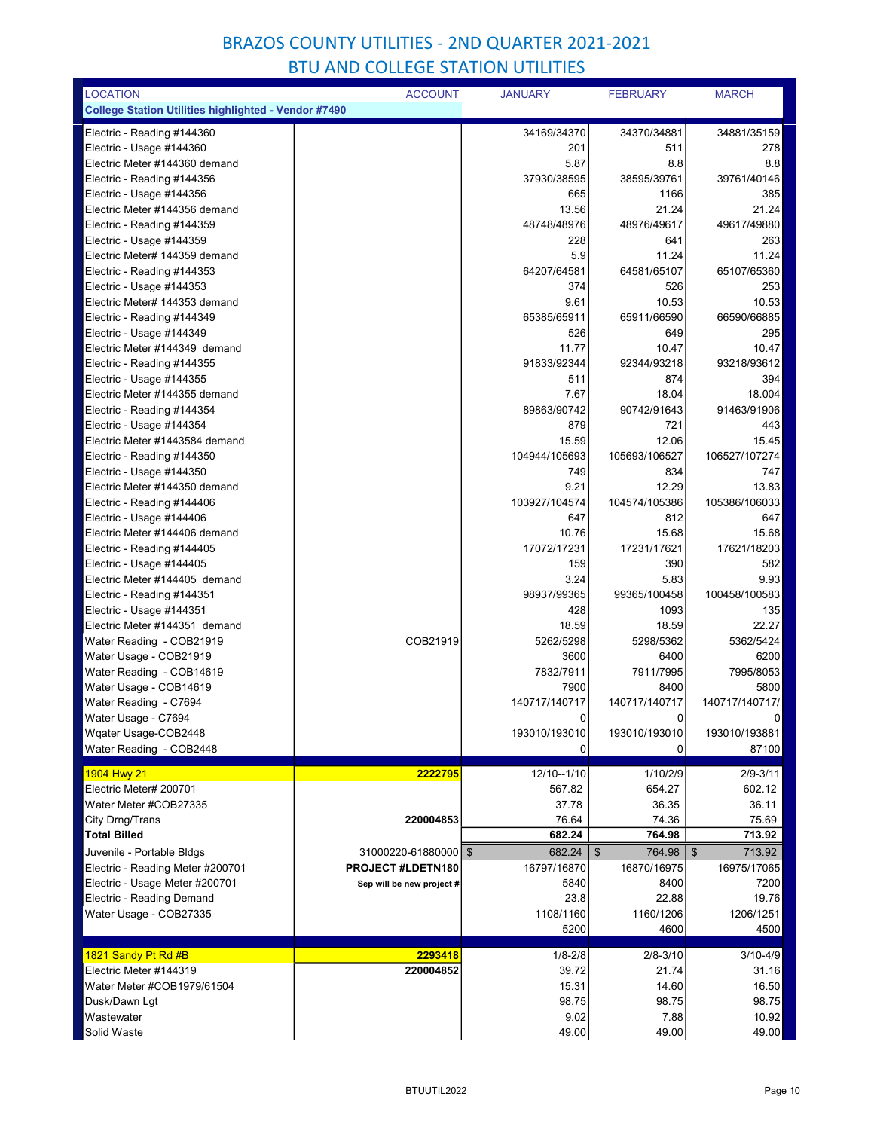| <b>LOCATION</b>                                             | <b>ACCOUNT</b>            | <b>JANUARY</b>        | <b>FEBRUARY</b>        | <b>MARCH</b>           |
|-------------------------------------------------------------|---------------------------|-----------------------|------------------------|------------------------|
| <b>College Station Utilities highlighted - Vendor #7490</b> |                           |                       |                        |                        |
| Electric - Reading #144360                                  |                           | 34169/34370           | 34370/34881            | 34881/35159            |
| Electric - Usage #144360                                    |                           | 201                   | 511                    | 278                    |
| Electric Meter #144360 demand                               |                           | 5.87                  | 8.8                    | 8.8                    |
| Electric - Reading #144356                                  |                           | 37930/38595           | 38595/39761            | 39761/40146            |
| Electric - Usage #144356                                    |                           | 665                   | 1166                   | 385                    |
| Electric Meter #144356 demand                               |                           | 13.56                 | 21.24                  | 21.24                  |
| Electric - Reading #144359                                  |                           | 48748/48976           | 48976/49617            | 49617/49880            |
| Electric - Usage #144359                                    |                           | 228                   | 641                    | 263                    |
| Electric Meter# 144359 demand                               |                           | 5.9                   | 11.24                  | 11.24                  |
| Electric - Reading #144353                                  |                           | 64207/64581           | 64581/65107            | 65107/65360            |
| Electric - Usage #144353                                    |                           | 374                   | 526                    | 253                    |
| Electric Meter# 144353 demand                               |                           | 9.61                  | 10.53                  | 10.53                  |
| Electric - Reading #144349                                  |                           | 65385/65911           | 65911/66590            | 66590/66885            |
| Electric - Usage #144349                                    |                           | 526                   | 649                    | 295                    |
| Electric Meter #144349 demand                               |                           | 11.77                 | 10.47                  | 10.47                  |
| Electric - Reading #144355                                  |                           | 91833/92344           | 92344/93218            | 93218/93612            |
| Electric - Usage #144355                                    |                           | 511                   | 874                    | 394                    |
| Electric Meter #144355 demand                               |                           | 7.67                  | 18.04                  | 18.004                 |
| Electric - Reading #144354                                  |                           | 89863/90742           | 90742/91643            | 91463/91906            |
| Electric - Usage #144354                                    |                           | 879                   | 721                    | 443                    |
| Electric Meter #1443584 demand                              |                           | 15.59                 | 12.06                  | 15.45                  |
| Electric - Reading #144350                                  |                           | 104944/105693         | 105693/106527          | 106527/107274          |
| Electric - Usage #144350                                    |                           | 749                   | 834                    | 747                    |
| Electric Meter #144350 demand<br>Electric - Reading #144406 |                           | 9.21<br>103927/104574 | 12.29<br>104574/105386 | 13.83<br>105386/106033 |
| Electric - Usage #144406                                    |                           | 647                   | 812                    | 647                    |
| Electric Meter #144406 demand                               |                           | 10.76                 | 15.68                  | 15.68                  |
| Electric - Reading #144405                                  |                           | 17072/17231           | 17231/17621            | 17621/18203            |
| Electric - Usage #144405                                    |                           | 159                   | 390                    | 582                    |
| Electric Meter #144405 demand                               |                           | 3.24                  | 5.83                   | 9.93                   |
| Electric - Reading #144351                                  |                           | 98937/99365           | 99365/100458           | 100458/100583          |
| Electric - Usage #144351                                    |                           | 428                   | 1093                   | 135                    |
| Electric Meter #144351 demand                               |                           | 18.59                 | 18.59                  | 22.27                  |
| Water Reading - COB21919                                    | COB21919                  | 5262/5298             | 5298/5362              | 5362/5424              |
| Water Usage - COB21919                                      |                           | 3600                  | 6400                   | 6200                   |
| Water Reading - COB14619                                    |                           | 7832/7911             | 7911/7995              | 7995/8053              |
| Water Usage - COB14619                                      |                           | 7900                  | 8400                   | 5800                   |
| Water Reading  - C7694                                      |                           | 140717/140717         | 140717/140717          | 140717/140717/         |
| Water Usage - C7694                                         |                           | $\Omega$              | $\Omega$               | 0                      |
| Wqater Usage-COB2448                                        |                           | 193010/193010         | 193010/193010          | 193010/193881          |
| Water Reading - COB2448                                     |                           | 0                     | 0                      | 87100                  |
| 1904 Hwy 21                                                 | 2222795                   | 12/10--1/10           | 1/10/2/9               | 2/9-3/11               |
| Electric Meter# 200701                                      |                           | 567.82                | 654.27                 | 602.12                 |
| Water Meter #COB27335                                       |                           | 37.78                 | 36.35                  | 36.11                  |
| City Drng/Trans                                             | 220004853                 | 76.64                 | 74.36                  | 75.69                  |
| <b>Total Billed</b>                                         |                           | 682.24                | 764.98                 | 713.92                 |
| Juvenile - Portable Bldgs                                   | 31000220-61880000   \$    | 682.24                | \$<br>764.98           | \$<br>713.92           |
| Electric - Reading Meter #200701                            | PROJECT #LDETN180         | 16797/16870           | 16870/16975            | 16975/17065            |
| Electric - Usage Meter #200701                              | Sep will be new project # | 5840                  | 8400                   | 7200                   |
| Electric - Reading Demand                                   |                           | 23.8                  | 22.88                  | 19.76                  |
| Water Usage - COB27335                                      |                           | 1108/1160             | 1160/1206              | 1206/1251              |
|                                                             |                           | 5200                  | 4600                   | 4500                   |
| 1821 Sandy Pt Rd #B                                         | 2293418                   | $1/8 - 2/8$           | $2/8 - 3/10$           | $3/10 - 4/9$           |
| Electric Meter #144319                                      | 220004852                 | 39.72                 | 21.74                  | 31.16                  |
| Water Meter #COB1979/61504                                  |                           | 15.31                 | 14.60                  | 16.50                  |
| Dusk/Dawn Lgt                                               |                           | 98.75                 | 98.75                  | 98.75                  |
| Wastewater                                                  |                           | 9.02                  | 7.88                   | 10.92                  |
| Solid Waste                                                 |                           | 49.00                 | 49.00                  | 49.00                  |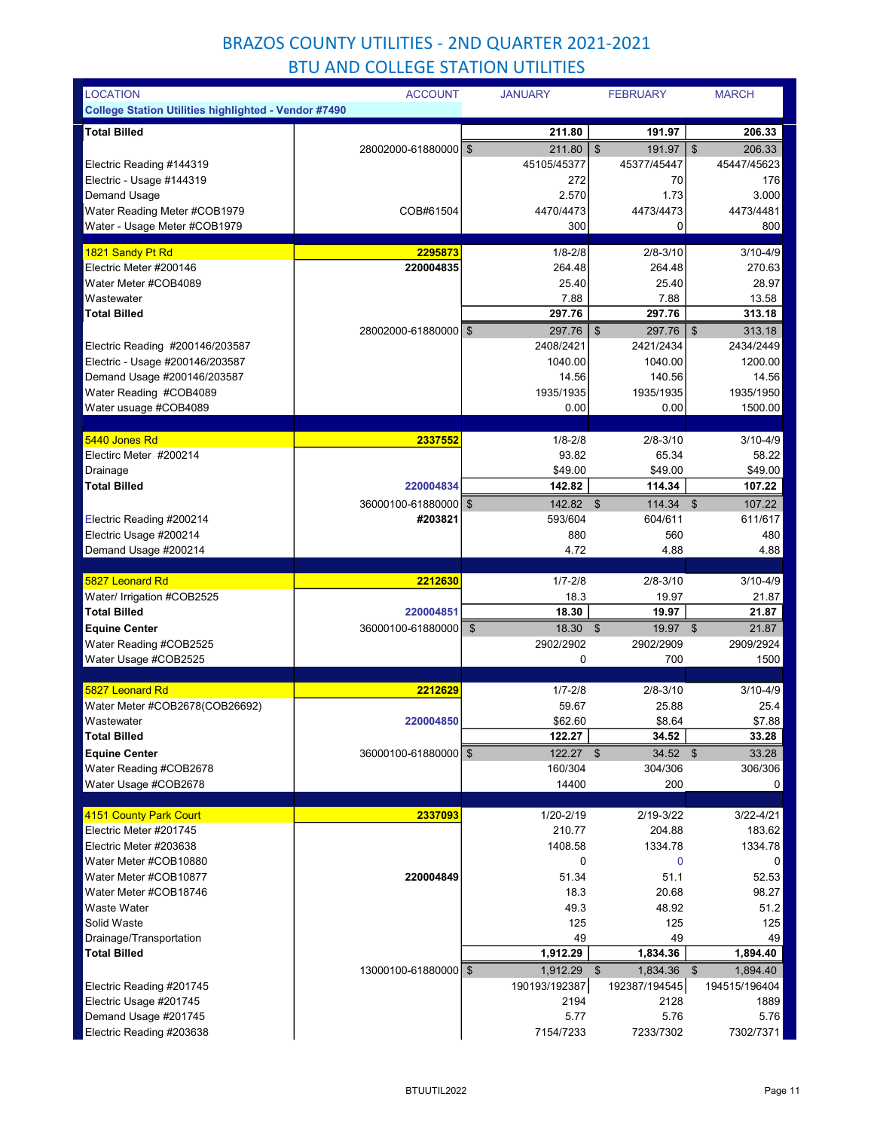| <b>LOCATION</b>                                             | <b>ACCOUNT</b>         | <b>JANUARY</b> | <b>FEBRUARY</b>                     | <b>MARCH</b>                |
|-------------------------------------------------------------|------------------------|----------------|-------------------------------------|-----------------------------|
| <b>College Station Utilities highlighted - Vendor #7490</b> |                        |                |                                     |                             |
| <b>Total Billed</b>                                         |                        | 211.80         | 191.97                              | 206.33                      |
|                                                             | 28002000-61880000 \$   | 211.80         | $\boldsymbol{\mathsf{S}}$<br>191.97 | \$<br>206.33                |
| Electric Reading #144319                                    |                        | 45105/45377    | 45377/45447                         | 45447/45623                 |
| Electric - Usage #144319                                    |                        | 272            | 70                                  | 176                         |
| Demand Usage                                                |                        | 2.570          | 1.73                                | 3.000                       |
| Water Reading Meter #COB1979                                | COB#61504              | 4470/4473      | 4473/4473                           | 4473/4481                   |
| Water - Usage Meter #COB1979                                |                        | 300            | 0                                   | 800                         |
| 1821 Sandy Pt Rd                                            | 2295873                | $1/8 - 2/8$    | $2/8 - 3/10$                        | $3/10 - 4/9$                |
| Electric Meter #200146                                      | 220004835              | 264.48         | 264.48                              | 270.63                      |
| Water Meter #COB4089                                        |                        | 25.40          | 25.40                               | 28.97                       |
| Wastewater                                                  |                        | 7.88           | 7.88                                | 13.58                       |
| <b>Total Billed</b>                                         |                        | 297.76         | 297.76                              | 313.18                      |
|                                                             | 28002000-61880000 \$   | 297.76         | $\mathfrak{S}$<br>297.76            | $\boldsymbol{\$}$<br>313.18 |
| Electric Reading #200146/203587                             |                        | 2408/2421      | 2421/2434                           | 2434/2449                   |
| Electric - Usage #200146/203587                             |                        | 1040.00        | 1040.00                             | 1200.00                     |
| Demand Usage #200146/203587                                 |                        | 14.56          | 140.56                              | 14.56                       |
| Water Reading #COB4089                                      |                        | 1935/1935      | 1935/1935                           | 1935/1950                   |
| Water usuage #COB4089                                       |                        | 0.00           | 0.00                                | 1500.00                     |
|                                                             |                        |                |                                     |                             |
| 5440 Jones Rd                                               | 2337552                | $1/8 - 2/8$    | $2/8 - 3/10$                        | $3/10 - 4/9$                |
| Electirc Meter #200214                                      |                        | 93.82          | 65.34                               | 58.22                       |
| Drainage                                                    |                        | \$49.00        | \$49.00                             | \$49.00                     |
| <b>Total Billed</b>                                         | 220004834              | 142.82         | 114.34                              | 107.22                      |
|                                                             | 36000100-61880000   \$ | 142.82 \$      | 114.34                              | 107.22<br>\$                |
| Electric Reading #200214                                    | #203821                | 593/604        | 604/611                             | 611/617                     |
| Electric Usage #200214                                      |                        | 880            | 560                                 | 480                         |
| Demand Usage #200214                                        |                        | 4.72           | 4.88                                | 4.88                        |
| 5827 Leonard Rd                                             | 2212630                | $1/7 - 2/8$    | $2/8 - 3/10$                        | $3/10 - 4/9$                |
| Water/ Irrigation #COB2525                                  |                        | 18.3           | 19.97                               | 21.87                       |
| <b>Total Billed</b>                                         | 220004851              | 18.30          | 19.97                               | 21.87                       |
| <b>Equine Center</b>                                        | 36000100-61880000      | \$<br>18.30 \$ | 19.97 \$                            | 21.87                       |
| Water Reading #COB2525                                      |                        | 2902/2902      | 2902/2909                           | 2909/2924                   |
| Water Usage #COB2525                                        |                        | 0              | 700                                 | 1500                        |
|                                                             |                        |                |                                     |                             |
| 5827 Leonard Rd                                             | 2212629                | $1/7 - 2/8$    | $2/8 - 3/10$                        | $3/10 - 4/9$                |
| Water Meter #COB2678(COB26692)                              |                        | 59.67          | 25.88                               | 25.4                        |
| Wastewater                                                  | 220004850              | \$62.60        | \$8.64                              | \$7.88                      |
| <b>Total Billed</b>                                         |                        | 122.27         | 34.52                               | 33.28                       |
| <b>Equine Center</b>                                        | 36000100-61880000 \$   | $122.27$ \$    | $34.52$ \$                          | 33.28                       |
| Water Reading #COB2678                                      |                        | 160/304        | 304/306                             | 306/306                     |
| Water Usage #COB2678                                        |                        | 14400          | 200                                 | 0                           |
| 4151 County Park Court                                      | 2337093                | 1/20-2/19      | 2/19-3/22                           | 3/22-4/21                   |
| Electric Meter #201745                                      |                        | 210.77         | 204.88                              | 183.62                      |
| Electric Meter #203638                                      |                        | 1408.58        | 1334.78                             | 1334.78                     |
| Water Meter #COB10880                                       |                        | 0              | 0                                   | 0                           |
| Water Meter #COB10877                                       | 220004849              | 51.34          | 51.1                                | 52.53                       |
| Water Meter #COB18746                                       |                        | 18.3           | 20.68                               | 98.27                       |
| Waste Water                                                 |                        | 49.3           | 48.92                               | 51.2                        |
| Solid Waste                                                 |                        | 125            | 125                                 | 125                         |
| Drainage/Transportation                                     |                        | 49             | 49                                  | 49                          |
| <b>Total Billed</b>                                         |                        | 1,912.29       | 1,834.36                            | 1,894.40                    |
|                                                             | 13000100-61880000   \$ | 1,912.29       | $\sqrt[6]{3}$<br>1,834.36           | \$<br>1,894.40              |
| Electric Reading #201745                                    |                        | 190193/192387  | 192387/194545                       | 194515/196404               |
| Electric Usage #201745                                      |                        | 2194           | 2128                                | 1889                        |
| Demand Usage #201745                                        |                        | 5.77           | 5.76                                | 5.76                        |
| Electric Reading #203638                                    |                        | 7154/7233      | 7233/7302                           | 7302/7371                   |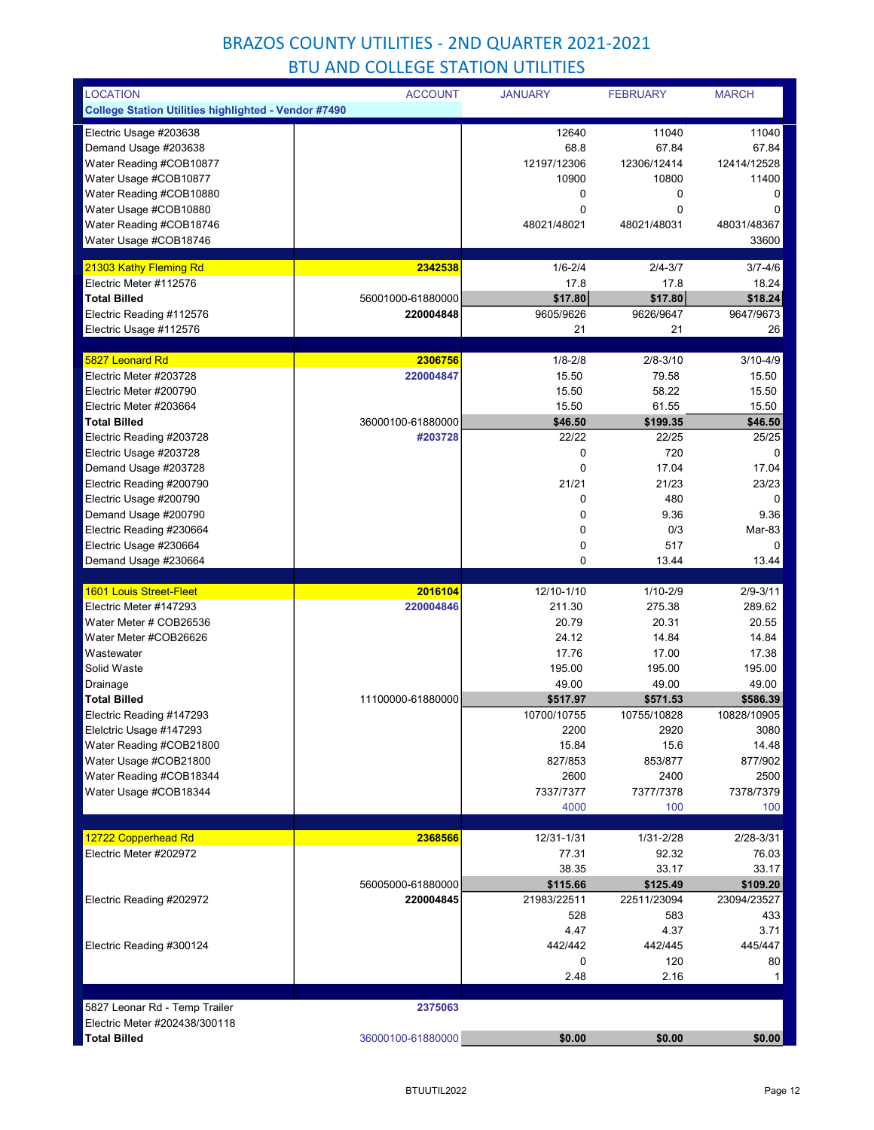| <b>LOCATION</b>                                             | <b>ACCOUNT</b>    | <b>JANUARY</b>  | <b>FEBRUARY</b> | <b>MARCH</b>       |
|-------------------------------------------------------------|-------------------|-----------------|-----------------|--------------------|
| <b>College Station Utilities highlighted - Vendor #7490</b> |                   |                 |                 |                    |
| Electric Usage #203638                                      |                   | 12640           | 11040           | 11040              |
| Demand Usage #203638                                        |                   | 68.8            | 67.84           | 67.84              |
| Water Reading #COB10877                                     |                   | 12197/12306     | 12306/12414     | 12414/12528        |
| Water Usage #COB10877                                       |                   | 10900           | 10800           | 11400              |
| Water Reading #COB10880                                     |                   | 0               | 0               | 0                  |
| Water Usage #COB10880                                       |                   | 0               | 0               | 0                  |
| Water Reading #COB18746                                     |                   | 48021/48021     | 48021/48031     | 48031/48367        |
| Water Usage #COB18746                                       |                   |                 |                 | 33600              |
|                                                             |                   |                 |                 |                    |
| 21303 Kathy Fleming Rd<br>Electric Meter #112576            | 2342538           | $1/6 - 2/4$     | $2/4 - 3/7$     | $3/7 - 4/6$        |
| <b>Total Billed</b>                                         |                   | 17.8            | 17.8            | 18.24              |
|                                                             | 56001000-61880000 | \$17.80         | \$17.80         | \$18.24            |
| Electric Reading #112576<br>Electric Usage #112576          | 220004848         | 9605/9626<br>21 | 9626/9647<br>21 | 9647/9673<br>26    |
|                                                             |                   |                 |                 |                    |
| 5827 Leonard Rd                                             | 2306756           | $1/8 - 2/8$     | $2/8 - 3/10$    | $3/10 - 4/9$       |
| Electric Meter #203728                                      | 220004847         | 15.50           | 79.58           | 15.50              |
| Electric Meter #200790                                      |                   | 15.50           | 58.22           | 15.50              |
| Electric Meter #203664                                      |                   | 15.50           | 61.55           | 15.50              |
| <b>Total Billed</b>                                         | 36000100-61880000 | \$46.50         | \$199.35        | \$46.50            |
| Electric Reading #203728                                    | #203728           | 22/22           | 22/25           | 25/25              |
| Electric Usage #203728                                      |                   | 0               | 720             | 0                  |
| Demand Usage #203728                                        |                   | 0               | 17.04           | 17.04              |
| Electric Reading #200790                                    |                   | 21/21           | 21/23           | 23/23              |
| Electric Usage #200790                                      |                   | 0               | 480             | $\overline{0}$     |
| Demand Usage #200790                                        |                   | 0               | 9.36            | 9.36               |
| Electric Reading #230664                                    |                   | 0               | 0/3             | Mar-83             |
| Electric Usage #230664                                      |                   | 0               | 517             | 0                  |
| Demand Usage #230664                                        |                   | 0               | 13.44           | 13.44              |
|                                                             |                   |                 |                 |                    |
| <b>1601 Louis Street-Fleet</b>                              | 2016104           | 12/10-1/10      |                 | $2/9 - 3/11$       |
|                                                             |                   |                 | $1/10 - 2/9$    |                    |
| Electric Meter #147293                                      | 220004846         | 211.30          | 275.38          | 289.62             |
| Water Meter # COB26536                                      |                   | 20.79           | 20.31           | 20.55              |
| Water Meter #COB26626                                       |                   | 24.12           | 14.84           | 14.84              |
| Wastewater                                                  |                   | 17.76           | 17.00           | 17.38              |
| Solid Waste                                                 |                   | 195.00          | 195.00          | 195.00             |
| Drainage                                                    |                   | 49.00           | 49.00           | 49.00              |
| <b>Total Billed</b>                                         | 11100000-61880000 | \$517.97        | \$571.53        | \$586.39           |
| Electric Reading #147293                                    |                   | 10700/10755     | 10755/10828     | 10828/10905        |
| Elelctric Usage #147293                                     |                   | 2200            | 2920            | 3080               |
| Water Reading #COB21800                                     |                   | 15.84           | 15.6            | 14.48              |
| Water Usage #COB21800                                       |                   | 827/853         | 853/877         | 877/902            |
| Water Reading #COB18344                                     |                   | 2600            | 2400            | 2500               |
| Water Usage #COB18344                                       |                   | 7337/7377       | 7377/7378       | 7378/7379          |
|                                                             |                   | 4000            | 100             | 100                |
|                                                             |                   |                 |                 |                    |
| 12722 Copperhead Rd                                         | 2368566           | 12/31-1/31      | 1/31-2/28       | 2/28-3/31          |
| Electric Meter #202972                                      |                   | 77.31           | 92.32           | 76.03              |
|                                                             |                   | 38.35           | 33.17           | 33.17              |
|                                                             | 56005000-61880000 | \$115.66        | \$125.49        | \$109.20           |
| Electric Reading #202972                                    | 220004845         | 21983/22511     | 22511/23094     | 23094/23527        |
|                                                             |                   | 528             | 583             | 433                |
|                                                             |                   | 4.47            | 4.37            | 3.71               |
| Electric Reading #300124                                    |                   | 442/442<br>0    | 442/445<br>120  | 445/447            |
|                                                             |                   | 2.48            | 2.16            | 80<br>$\mathbf{1}$ |
|                                                             |                   |                 |                 |                    |
| 5827 Leonar Rd - Temp Trailer                               | 2375063           |                 |                 |                    |
| Electric Meter #202438/300118                               |                   |                 |                 |                    |